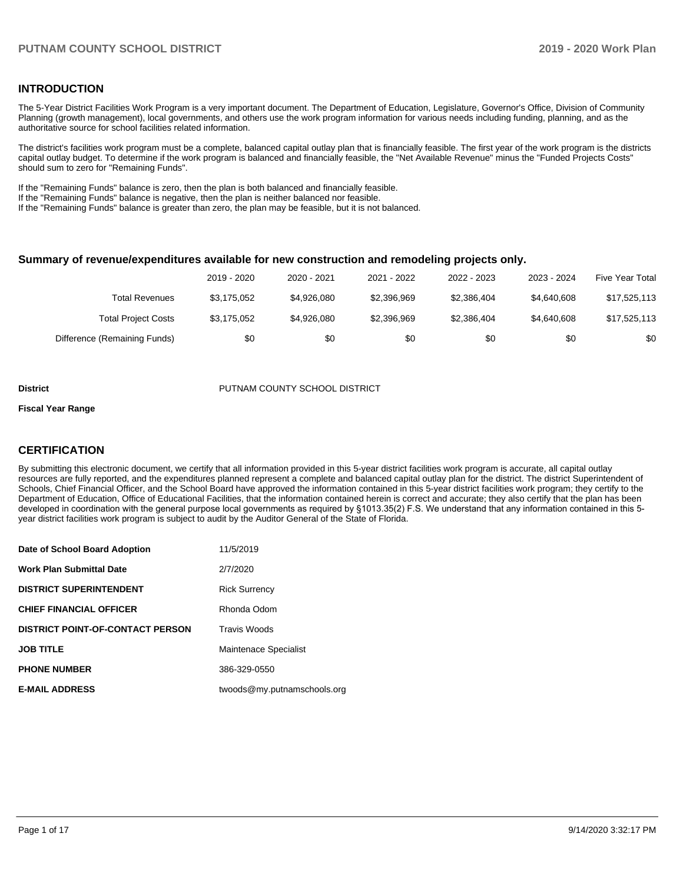### **INTRODUCTION**

The 5-Year District Facilities Work Program is a very important document. The Department of Education, Legislature, Governor's Office, Division of Community Planning (growth management), local governments, and others use the work program information for various needs including funding, planning, and as the authoritative source for school facilities related information.

The district's facilities work program must be a complete, balanced capital outlay plan that is financially feasible. The first year of the work program is the districts capital outlay budget. To determine if the work program is balanced and financially feasible, the "Net Available Revenue" minus the "Funded Projects Costs" should sum to zero for "Remaining Funds".

If the "Remaining Funds" balance is zero, then the plan is both balanced and financially feasible.

If the "Remaining Funds" balance is negative, then the plan is neither balanced nor feasible.

If the "Remaining Funds" balance is greater than zero, the plan may be feasible, but it is not balanced.

### **Summary of revenue/expenditures available for new construction and remodeling projects only.**

|                              | 2019 - 2020 | 2020 - 2021 | 2021 - 2022 | 2022 - 2023 | 2023 - 2024 | <b>Five Year Total</b> |
|------------------------------|-------------|-------------|-------------|-------------|-------------|------------------------|
| Total Revenues               | \$3.175.052 | \$4,926,080 | \$2,396,969 | \$2,386,404 | \$4,640,608 | \$17,525,113           |
| <b>Total Project Costs</b>   | \$3,175,052 | \$4,926,080 | \$2,396,969 | \$2,386,404 | \$4,640,608 | \$17,525,113           |
| Difference (Remaining Funds) | \$0         | \$0         | \$0         | \$0         | \$0         | \$0                    |

#### **District COUNTY SCHOOL DISTRICT** PUTNAM COUNTY SCHOOL DISTRICT

#### **Fiscal Year Range**

### **CERTIFICATION**

By submitting this electronic document, we certify that all information provided in this 5-year district facilities work program is accurate, all capital outlay resources are fully reported, and the expenditures planned represent a complete and balanced capital outlay plan for the district. The district Superintendent of Schools, Chief Financial Officer, and the School Board have approved the information contained in this 5-year district facilities work program; they certify to the Department of Education, Office of Educational Facilities, that the information contained herein is correct and accurate; they also certify that the plan has been developed in coordination with the general purpose local governments as required by §1013.35(2) F.S. We understand that any information contained in this 5 year district facilities work program is subject to audit by the Auditor General of the State of Florida.

| Date of School Board Adoption           | 11/5/2019                   |
|-----------------------------------------|-----------------------------|
| Work Plan Submittal Date                | 2/7/2020                    |
| <b>DISTRICT SUPERINTENDENT</b>          | <b>Rick Surrency</b>        |
| <b>CHIEF FINANCIAL OFFICER</b>          | Rhonda Odom                 |
| <b>DISTRICT POINT-OF-CONTACT PERSON</b> | <b>Travis Woods</b>         |
| <b>JOB TITLE</b>                        | Maintenace Specialist       |
| <b>PHONE NUMBER</b>                     | 386-329-0550                |
| <b>E-MAIL ADDRESS</b>                   | twoods@my.putnamschools.org |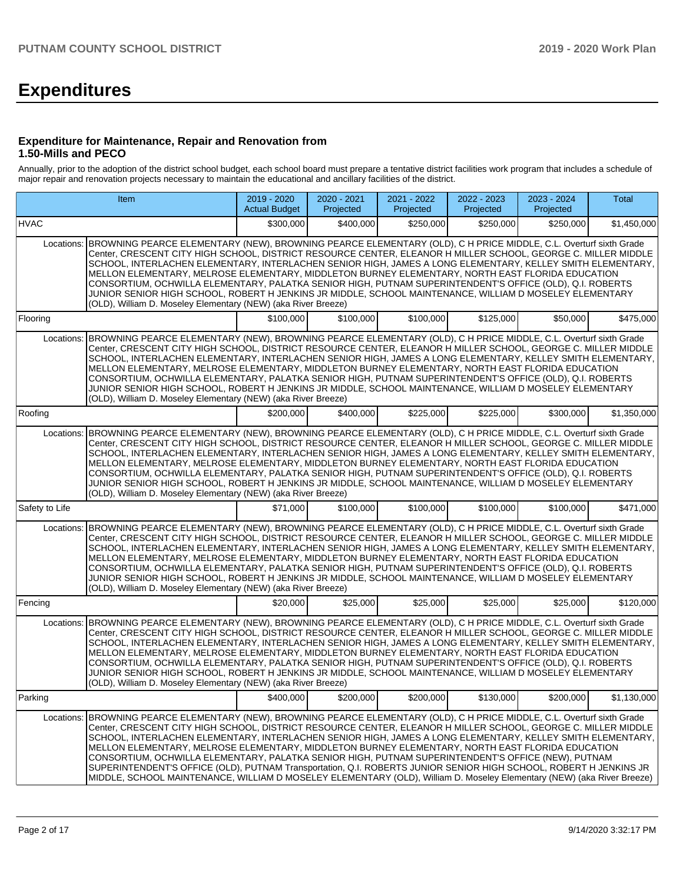# **Expenditures**

### **Expenditure for Maintenance, Repair and Renovation from 1.50-Mills and PECO**

Annually, prior to the adoption of the district school budget, each school board must prepare a tentative district facilities work program that includes a schedule of major repair and renovation projects necessary to maintain the educational and ancillary facilities of the district.

| Item                                                                                                                                                                                                                                                                                                                                                                                                                                                                                                                                                                                                                                                                                                                                                  |                                                                                                                                                                                                                                                                                                                                                                                                                                                                                                                                                                                                                                                                                                                                                                                                         | 2019 - 2020<br><b>Actual Budget</b> | 2020 - 2021<br>Projected | 2021 - 2022<br>Projected | 2022 - 2023<br>Projected | 2023 - 2024<br>Projected | <b>Total</b> |  |  |  |  |
|-------------------------------------------------------------------------------------------------------------------------------------------------------------------------------------------------------------------------------------------------------------------------------------------------------------------------------------------------------------------------------------------------------------------------------------------------------------------------------------------------------------------------------------------------------------------------------------------------------------------------------------------------------------------------------------------------------------------------------------------------------|---------------------------------------------------------------------------------------------------------------------------------------------------------------------------------------------------------------------------------------------------------------------------------------------------------------------------------------------------------------------------------------------------------------------------------------------------------------------------------------------------------------------------------------------------------------------------------------------------------------------------------------------------------------------------------------------------------------------------------------------------------------------------------------------------------|-------------------------------------|--------------------------|--------------------------|--------------------------|--------------------------|--------------|--|--|--|--|
| <b>HVAC</b>                                                                                                                                                                                                                                                                                                                                                                                                                                                                                                                                                                                                                                                                                                                                           |                                                                                                                                                                                                                                                                                                                                                                                                                                                                                                                                                                                                                                                                                                                                                                                                         | \$300,000                           | \$400,000                | \$250.000                | \$250,000                | \$250,000                | \$1,450,000  |  |  |  |  |
| Locations: BROWNING PEARCE ELEMENTARY (NEW), BROWNING PEARCE ELEMENTARY (OLD), C H PRICE MIDDLE, C.L. Overturf sixth Grade<br>Center, CRESCENT CITY HIGH SCHOOL, DISTRICT RESOURCE CENTER, ELEANOR H MILLER SCHOOL, GEORGE C. MILLER MIDDLE<br>SCHOOL, INTERLACHEN ELEMENTARY, INTERLACHEN SENIOR HIGH, JAMES A LONG ELEMENTARY, KELLEY SMITH ELEMENTARY,<br>MELLON ELEMENTARY, MELROSE ELEMENTARY, MIDDLETON BURNEY ELEMENTARY, NORTH EAST FLORIDA EDUCATION<br>CONSORTIUM, OCHWILLA ELEMENTARY, PALATKA SENIOR HIGH, PUTNAM SUPERINTENDENT'S OFFICE (OLD), Q.I. ROBERTS<br>JUNIOR SENIOR HIGH SCHOOL, ROBERT H JENKINS JR MIDDLE, SCHOOL MAINTENANCE, WILLIAM D MOSELEY ELEMENTARY<br>(OLD), William D. Moseley Elementary (NEW) (aka River Breeze) |                                                                                                                                                                                                                                                                                                                                                                                                                                                                                                                                                                                                                                                                                                                                                                                                         |                                     |                          |                          |                          |                          |              |  |  |  |  |
| Flooring                                                                                                                                                                                                                                                                                                                                                                                                                                                                                                                                                                                                                                                                                                                                              |                                                                                                                                                                                                                                                                                                                                                                                                                                                                                                                                                                                                                                                                                                                                                                                                         | \$100,000                           | \$100,000                | \$100,000                | \$125,000                | \$50,000                 | \$475,000    |  |  |  |  |
|                                                                                                                                                                                                                                                                                                                                                                                                                                                                                                                                                                                                                                                                                                                                                       | Locations: BROWNING PEARCE ELEMENTARY (NEW), BROWNING PEARCE ELEMENTARY (OLD), C H PRICE MIDDLE, C.L. Overturf sixth Grade<br>Center, CRESCENT CITY HIGH SCHOOL, DISTRICT RESOURCE CENTER, ELEANOR H MILLER SCHOOL, GEORGE C. MILLER MIDDLE<br>SCHOOL, INTERLACHEN ELEMENTARY, INTERLACHEN SENIOR HIGH, JAMES A LONG ELEMENTARY, KELLEY SMITH ELEMENTARY,<br>MELLON ELEMENTARY, MELROSE ELEMENTARY, MIDDLETON BURNEY ELEMENTARY, NORTH EAST FLORIDA EDUCATION<br>CONSORTIUM, OCHWILLA ELEMENTARY, PALATKA SENIOR HIGH, PUTNAM SUPERINTENDENT'S OFFICE (OLD), Q.I. ROBERTS<br>JUNIOR SENIOR HIGH SCHOOL, ROBERT H JENKINS JR MIDDLE, SCHOOL MAINTENANCE, WILLIAM D MOSELEY ELEMENTARY<br>(OLD), William D. Moseley Elementary (NEW) (aka River Breeze)                                                   |                                     |                          |                          |                          |                          |              |  |  |  |  |
| Roofing                                                                                                                                                                                                                                                                                                                                                                                                                                                                                                                                                                                                                                                                                                                                               |                                                                                                                                                                                                                                                                                                                                                                                                                                                                                                                                                                                                                                                                                                                                                                                                         | \$200,000                           | \$400,000                | \$225,000                | \$225,000                | \$300,000                | \$1,350,000  |  |  |  |  |
| Locations:                                                                                                                                                                                                                                                                                                                                                                                                                                                                                                                                                                                                                                                                                                                                            | BROWNING PEARCE ELEMENTARY (NEW), BROWNING PEARCE ELEMENTARY (OLD), C H PRICE MIDDLE, C.L. Overturf sixth Grade<br>Center, CRESCENT CITY HIGH SCHOOL, DISTRICT RESOURCE CENTER, ELEANOR H MILLER SCHOOL, GEORGE C. MILLER MIDDLE<br>SCHOOL, INTERLACHEN ELEMENTARY, INTERLACHEN SENIOR HIGH, JAMES A LONG ELEMENTARY, KELLEY SMITH ELEMENTARY,<br>MELLON ELEMENTARY, MELROSE ELEMENTARY, MIDDLETON BURNEY ELEMENTARY, NORTH EAST FLORIDA EDUCATION<br>CONSORTIUM, OCHWILLA ELEMENTARY, PALATKA SENIOR HIGH, PUTNAM SUPERINTENDENT'S OFFICE (OLD), Q.I. ROBERTS<br>JUNIOR SENIOR HIGH SCHOOL, ROBERT H JENKINS JR MIDDLE, SCHOOL MAINTENANCE, WILLIAM D MOSELEY ELEMENTARY<br>(OLD). William D. Moselev Elementary (NEW) (aka River Breeze)                                                              |                                     |                          |                          |                          |                          |              |  |  |  |  |
| Safety to Life                                                                                                                                                                                                                                                                                                                                                                                                                                                                                                                                                                                                                                                                                                                                        |                                                                                                                                                                                                                                                                                                                                                                                                                                                                                                                                                                                                                                                                                                                                                                                                         | \$71.000                            | \$100,000                | \$100,000                | \$100.000                | \$100,000                | \$471,000    |  |  |  |  |
| Locations:                                                                                                                                                                                                                                                                                                                                                                                                                                                                                                                                                                                                                                                                                                                                            | BROWNING PEARCE ELEMENTARY (NEW), BROWNING PEARCE ELEMENTARY (OLD), C H PRICE MIDDLE, C.L. Overturf sixth Grade<br>Center, CRESCENT CITY HIGH SCHOOL, DISTRICT RESOURCE CENTER, ELEANOR H MILLER SCHOOL, GEORGE C. MILLER MIDDLE<br>SCHOOL, INTERLACHEN ELEMENTARY, INTERLACHEN SENIOR HIGH, JAMES A LONG ELEMENTARY, KELLEY SMITH ELEMENTARY,<br>MELLON ELEMENTARY, MELROSE ELEMENTARY, MIDDLETON BURNEY ELEMENTARY, NORTH EAST FLORIDA EDUCATION<br>CONSORTIUM, OCHWILLA ELEMENTARY, PALATKA SENIOR HIGH, PUTNAM SUPERINTENDENT'S OFFICE (OLD), Q.I. ROBERTS<br>JUNIOR SENIOR HIGH SCHOOL, ROBERT H JENKINS JR MIDDLE, SCHOOL MAINTENANCE, WILLIAM D MOSELEY ELEMENTARY<br>(OLD), William D. Moseley Elementary (NEW) (aka River Breeze)                                                              |                                     |                          |                          |                          |                          |              |  |  |  |  |
| Fencing                                                                                                                                                                                                                                                                                                                                                                                                                                                                                                                                                                                                                                                                                                                                               |                                                                                                                                                                                                                                                                                                                                                                                                                                                                                                                                                                                                                                                                                                                                                                                                         | \$20,000                            | \$25,000                 | \$25,000                 | \$25,000                 | \$25,000                 | \$120,000    |  |  |  |  |
| Locations:                                                                                                                                                                                                                                                                                                                                                                                                                                                                                                                                                                                                                                                                                                                                            | BROWNING PEARCE ELEMENTARY (NEW), BROWNING PEARCE ELEMENTARY (OLD), C H PRICE MIDDLE, C.L. Overturf sixth Grade<br>Center, CRESCENT CITY HIGH SCHOOL, DISTRICT RESOURCE CENTER, ELEANOR H MILLER SCHOOL, GEORGE C. MILLER MIDDLE<br>SCHOOL. INTERLACHEN ELEMENTARY. INTERLACHEN SENIOR HIGH. JAMES A LONG ELEMENTARY. KELLEY SMITH ELEMENTARY.<br>MELLON ELEMENTARY, MELROSE ELEMENTARY, MIDDLETON BURNEY ELEMENTARY, NORTH EAST FLORIDA EDUCATION<br>CONSORTIUM, OCHWILLA ELEMENTARY, PALATKA SENIOR HIGH, PUTNAM SUPERINTENDENT'S OFFICE (OLD), Q.I. ROBERTS<br>JUNIOR SENIOR HIGH SCHOOL, ROBERT H JENKINS JR MIDDLE, SCHOOL MAINTENANCE, WILLIAM D MOSELEY ELEMENTARY<br>(OLD), William D. Moseley Elementary (NEW) (aka River Breeze)                                                              |                                     |                          |                          |                          |                          |              |  |  |  |  |
| Parking                                                                                                                                                                                                                                                                                                                                                                                                                                                                                                                                                                                                                                                                                                                                               |                                                                                                                                                                                                                                                                                                                                                                                                                                                                                                                                                                                                                                                                                                                                                                                                         | \$400,000                           | \$200,000                | \$200,000                | \$130,000                | \$200,000                | \$1,130,000  |  |  |  |  |
| Locations:                                                                                                                                                                                                                                                                                                                                                                                                                                                                                                                                                                                                                                                                                                                                            | BROWNING PEARCE ELEMENTARY (NEW), BROWNING PEARCE ELEMENTARY (OLD), C H PRICE MIDDLE, C.L. Overturf sixth Grade<br>Center, CRESCENT CITY HIGH SCHOOL, DISTRICT RESOURCE CENTER, ELEANOR H MILLER SCHOOL, GEORGE C. MILLER MIDDLE<br>SCHOOL, INTERLACHEN ELEMENTARY, INTERLACHEN SENIOR HIGH, JAMES A LONG ELEMENTARY, KELLEY SMITH ELEMENTARY,<br>MELLON ELEMENTARY, MELROSE ELEMENTARY, MIDDLETON BURNEY ELEMENTARY, NORTH EAST FLORIDA EDUCATION<br>CONSORTIUM, OCHWILLA ELEMENTARY, PALATKA SENIOR HIGH, PUTNAM SUPERINTENDENT'S OFFICE (NEW), PUTNAM<br>SUPERINTENDENT'S OFFICE (OLD), PUTNAM Transportation, Q.I. ROBERTS JUNIOR SENIOR HIGH SCHOOL, ROBERT H JENKINS JR<br>MIDDLE, SCHOOL MAINTENANCE, WILLIAM D MOSELEY ELEMENTARY (OLD), William D. Moseley Elementary (NEW) (aka River Breeze) |                                     |                          |                          |                          |                          |              |  |  |  |  |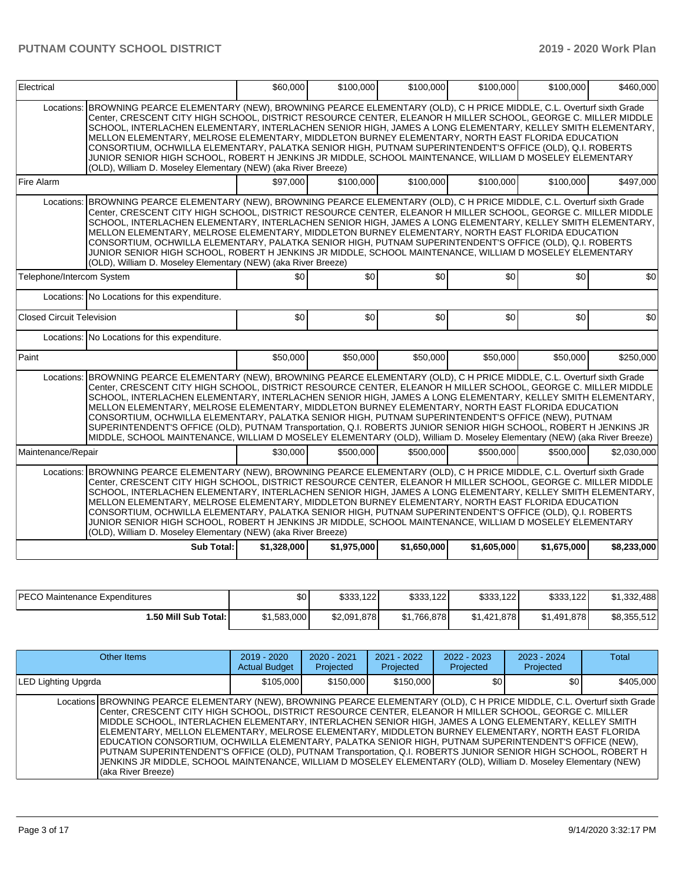| Electrical                       |                                                                                                                                                                                                                                                                                                                                                                                                                                                                                                                                                                                                                                                                                                                                                                                                         | \$60,000    | \$100,000   | \$100,000   | \$100,000   | \$100,000   | \$460,000   |
|----------------------------------|---------------------------------------------------------------------------------------------------------------------------------------------------------------------------------------------------------------------------------------------------------------------------------------------------------------------------------------------------------------------------------------------------------------------------------------------------------------------------------------------------------------------------------------------------------------------------------------------------------------------------------------------------------------------------------------------------------------------------------------------------------------------------------------------------------|-------------|-------------|-------------|-------------|-------------|-------------|
| Locations:                       | BROWNING PEARCE ELEMENTARY (NEW), BROWNING PEARCE ELEMENTARY (OLD), C H PRICE MIDDLE, C.L. Overturf sixth Grade<br>Center, CRESCENT CITY HIGH SCHOOL, DISTRICT RESOURCE CENTER, ELEANOR H MILLER SCHOOL, GEORGE C. MILLER MIDDLE<br>SCHOOL, INTERLACHEN ELEMENTARY, INTERLACHEN SENIOR HIGH, JAMES A LONG ELEMENTARY, KELLEY SMITH ELEMENTARY,<br>MELLON ELEMENTARY, MELROSE ELEMENTARY, MIDDLETON BURNEY ELEMENTARY, NORTH EAST FLORIDA EDUCATION<br>CONSORTIUM, OCHWILLA ELEMENTARY, PALATKA SENIOR HIGH, PUTNAM SUPERINTENDENT'S OFFICE (OLD), Q.I. ROBERTS<br>JUNIOR SENIOR HIGH SCHOOL, ROBERT H JENKINS JR MIDDLE, SCHOOL MAINTENANCE, WILLIAM D MOSELEY ELEMENTARY<br>(OLD), William D. Moseley Elementary (NEW) (aka River Breeze)                                                              |             |             |             |             |             |             |
| Fire Alarm                       |                                                                                                                                                                                                                                                                                                                                                                                                                                                                                                                                                                                                                                                                                                                                                                                                         | \$97,000    | \$100,000   | \$100,000   | \$100,000   | \$100,000   | \$497,000   |
| Locations:                       | BROWNING PEARCE ELEMENTARY (NEW), BROWNING PEARCE ELEMENTARY (OLD), C H PRICE MIDDLE, C.L. Overturf sixth Grade<br>Center, CRESCENT CITY HIGH SCHOOL, DISTRICT RESOURCE CENTER, ELEANOR H MILLER SCHOOL, GEORGE C. MILLER MIDDLE<br>SCHOOL, INTERLACHEN ELEMENTARY, INTERLACHEN SENIOR HIGH, JAMES A LONG ELEMENTARY, KELLEY SMITH ELEMENTARY,<br>MELLON ELEMENTARY, MELROSE ELEMENTARY, MIDDLETON BURNEY ELEMENTARY, NORTH EAST FLORIDA EDUCATION<br>CONSORTIUM, OCHWILLA ELEMENTARY, PALATKA SENIOR HIGH, PUTNAM SUPERINTENDENT'S OFFICE (OLD), Q.I. ROBERTS<br>JUNIOR SENIOR HIGH SCHOOL, ROBERT H JENKINS JR MIDDLE, SCHOOL MAINTENANCE, WILLIAM D MOSELEY ELEMENTARY<br>(OLD), William D. Moseley Elementary (NEW) (aka River Breeze)                                                              |             |             |             |             |             |             |
| Telephone/Intercom System        |                                                                                                                                                                                                                                                                                                                                                                                                                                                                                                                                                                                                                                                                                                                                                                                                         | \$0         | \$0         | \$0         | \$0         | \$0         | \$0         |
|                                  | Locations: No Locations for this expenditure.                                                                                                                                                                                                                                                                                                                                                                                                                                                                                                                                                                                                                                                                                                                                                           |             |             |             |             |             |             |
| <b>Closed Circuit Television</b> |                                                                                                                                                                                                                                                                                                                                                                                                                                                                                                                                                                                                                                                                                                                                                                                                         | \$0         | \$0         | \$0         | \$0         | \$0         | \$0         |
|                                  | Locations: No Locations for this expenditure.                                                                                                                                                                                                                                                                                                                                                                                                                                                                                                                                                                                                                                                                                                                                                           |             |             |             |             |             |             |
| Paint                            |                                                                                                                                                                                                                                                                                                                                                                                                                                                                                                                                                                                                                                                                                                                                                                                                         | \$50,000    | \$50,000    | \$50,000    | \$50,000    | \$50,000    | \$250.000   |
| Locations:                       | BROWNING PEARCE ELEMENTARY (NEW), BROWNING PEARCE ELEMENTARY (OLD), C H PRICE MIDDLE, C.L. Overturf sixth Grade<br>Center, CRESCENT CITY HIGH SCHOOL, DISTRICT RESOURCE CENTER, ELEANOR H MILLER SCHOOL, GEORGE C. MILLER MIDDLE<br>SCHOOL, INTERLACHEN ELEMENTARY, INTERLACHEN SENIOR HIGH, JAMES A LONG ELEMENTARY, KELLEY SMITH ELEMENTARY,<br>MELLON ELEMENTARY, MELROSE ELEMENTARY, MIDDLETON BURNEY ELEMENTARY, NORTH EAST FLORIDA EDUCATION<br>CONSORTIUM, OCHWILLA ELEMENTARY, PALATKA SENIOR HIGH, PUTNAM SUPERINTENDENT'S OFFICE (NEW), PUTNAM<br>SUPERINTENDENT'S OFFICE (OLD), PUTNAM Transportation, Q.I. ROBERTS JUNIOR SENIOR HIGH SCHOOL, ROBERT H JENKINS JR<br>MIDDLE, SCHOOL MAINTENANCE, WILLIAM D MOSELEY ELEMENTARY (OLD), William D. Moseley Elementary (NEW) (aka River Breeze) |             |             |             |             |             |             |
| Maintenance/Repair               |                                                                                                                                                                                                                                                                                                                                                                                                                                                                                                                                                                                                                                                                                                                                                                                                         | \$30,000    | \$500.000   | \$500,000   | \$500,000   | \$500,000   | \$2,030,000 |
| Locations:                       | BROWNING PEARCE ELEMENTARY (NEW), BROWNING PEARCE ELEMENTARY (OLD), C H PRICE MIDDLE, C.L. Overturf sixth Grade<br>Center, CRESCENT CITY HIGH SCHOOL, DISTRICT RESOURCE CENTER, ELEANOR H MILLER SCHOOL, GEORGE C. MILLER MIDDLE<br>SCHOOL, INTERLACHEN ELEMENTARY, INTERLACHEN SENIOR HIGH, JAMES A LONG ELEMENTARY, KELLEY SMITH ELEMENTARY,<br>MELLON ELEMENTARY, MELROSE ELEMENTARY, MIDDLETON BURNEY ELEMENTARY, NORTH EAST FLORIDA EDUCATION<br>CONSORTIUM. OCHWILLA ELEMENTARY, PALATKA SENIOR HIGH, PUTNAM SUPERINTENDENT'S OFFICE (OLD), Q.I. ROBERTS<br>JUNIOR SENIOR HIGH SCHOOL, ROBERT H JENKINS JR MIDDLE, SCHOOL MAINTENANCE, WILLIAM D MOSELEY ELEMENTARY<br>(OLD), William D. Moseley Elementary (NEW) (aka River Breeze)                                                              |             |             |             |             |             |             |
|                                  | Sub Total:                                                                                                                                                                                                                                                                                                                                                                                                                                                                                                                                                                                                                                                                                                                                                                                              | \$1,328,000 | \$1,975,000 | \$1,650,000 | \$1,605,000 | \$1,675,000 | \$8,233,000 |

| <b>IPECO Maintenance Expenditures</b> | \$0         | \$333,122   | \$333,122   | \$333,122   | \$333,122   | \$1,332,488 |
|---------------------------------------|-------------|-------------|-------------|-------------|-------------|-------------|
| 1.50 Mill Sub Total: I                | \$1,583,000 | \$2,091,878 | \$1,766,878 | \$1,421,878 | \$1,491,878 | \$8,355,512 |

| Other Items                                                                                                                                                                                                                                                                                                                                                                                                                                                                                                                                                                                                                                                                                                                                                                                                          | $2019 - 2020$<br><b>Actual Budget</b> | $2020 - 2021$<br>Projected | 2021 - 2022<br>Projected | 2022 - 2023<br>Projected | $2023 - 2024$<br>Projected | Total     |
|----------------------------------------------------------------------------------------------------------------------------------------------------------------------------------------------------------------------------------------------------------------------------------------------------------------------------------------------------------------------------------------------------------------------------------------------------------------------------------------------------------------------------------------------------------------------------------------------------------------------------------------------------------------------------------------------------------------------------------------------------------------------------------------------------------------------|---------------------------------------|----------------------------|--------------------------|--------------------------|----------------------------|-----------|
| <b>LED Lighting Upgrda</b>                                                                                                                                                                                                                                                                                                                                                                                                                                                                                                                                                                                                                                                                                                                                                                                           | \$105,000                             | \$150,000                  | \$150,000                | \$0 <sub>1</sub>         | \$0                        | \$405,000 |
| Locations BROWNING PEARCE ELEMENTARY (NEW), BROWNING PEARCE ELEMENTARY (OLD), C H PRICE MIDDLE, C.L. Overturf sixth Grade<br>Center, CRESCENT CITY HIGH SCHOOL, DISTRICT RESOURCE CENTER, ELEANOR H MILLER SCHOOL, GEORGE C. MILLER<br>MIDDLE SCHOOL, INTERLACHEN ELEMENTARY, INTERLACHEN SENIOR HIGH, JAMES A LONG ELEMENTARY, KELLEY SMITH<br>ELEMENTARY, MELLON ELEMENTARY, MELROSE ELEMENTARY, MIDDLETON BURNEY ELEMENTARY, NORTH EAST FLORIDA<br>EDUCATION CONSORTIUM, OCHWILLA ELEMENTARY, PALATKA SENIOR HIGH, PUTNAM SUPERINTENDENT'S OFFICE (NEW),<br>PUTNAM SUPERINTENDENT'S OFFICE (OLD), PUTNAM Transportation, Q.I. ROBERTS JUNIOR SENIOR HIGH SCHOOL, ROBERT H<br>JENKINS JR MIDDLE, SCHOOL MAINTENANCE, WILLIAM D MOSELEY ELEMENTARY (OLD), William D. Moseley Elementary (NEW)<br>(aka River Breeze) |                                       |                            |                          |                          |                            |           |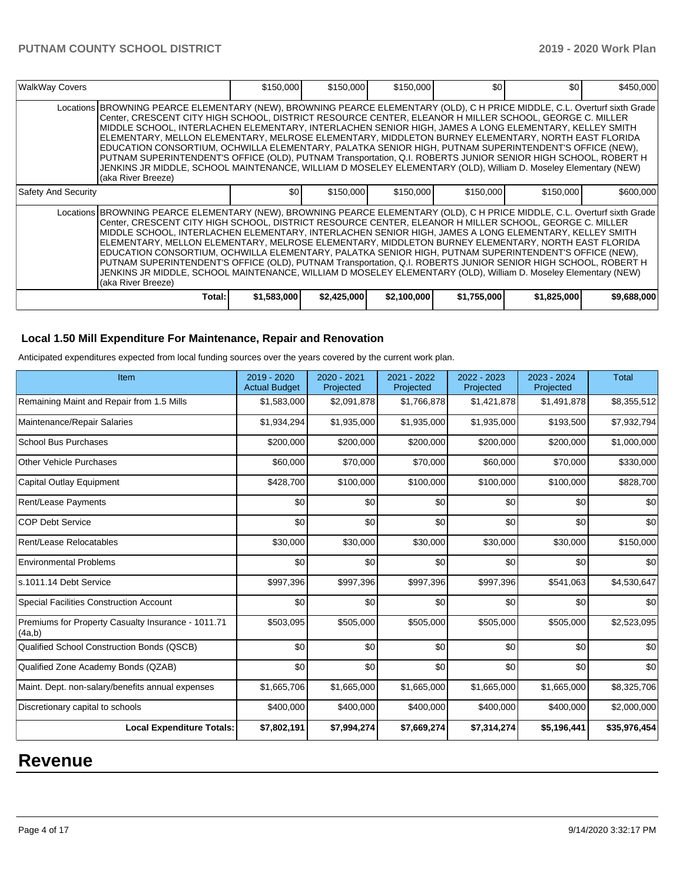| <b>WalkWay Covers</b>                                                                                                                                                                                                                                                                                                                                                                                                                                                                                                                                                                                                                                                                                                                                                                                                | \$150,000        | \$150,000   | \$150,000   | \$O         | \$0         | \$450,000   |
|----------------------------------------------------------------------------------------------------------------------------------------------------------------------------------------------------------------------------------------------------------------------------------------------------------------------------------------------------------------------------------------------------------------------------------------------------------------------------------------------------------------------------------------------------------------------------------------------------------------------------------------------------------------------------------------------------------------------------------------------------------------------------------------------------------------------|------------------|-------------|-------------|-------------|-------------|-------------|
| Locations BROWNING PEARCE ELEMENTARY (NEW), BROWNING PEARCE ELEMENTARY (OLD), C H PRICE MIDDLE, C.L. Overturf sixth Grade<br>Center, CRESCENT CITY HIGH SCHOOL, DISTRICT RESOURCE CENTER, ELEANOR H MILLER SCHOOL, GEORGE C. MILLER<br>MIDDLE SCHOOL. INTERLACHEN ELEMENTARY. INTERLACHEN SENIOR HIGH. JAMES A LONG ELEMENTARY. KELLEY SMITH<br>ELEMENTARY, MELLON ELEMENTARY, MELROSE ELEMENTARY, MIDDLETON BURNEY ELEMENTARY, NORTH EAST FLORIDA<br>EDUCATION CONSORTIUM, OCHWILLA ELEMENTARY, PALATKA SENIOR HIGH, PUTNAM SUPERINTENDENT'S OFFICE (NEW),<br>PUTNAM SUPERINTENDENT'S OFFICE (OLD), PUTNAM Transportation, Q.I. ROBERTS JUNIOR SENIOR HIGH SCHOOL, ROBERT H<br>JENKINS JR MIDDLE, SCHOOL MAINTENANCE, WILLIAM D MOSELEY ELEMENTARY (OLD), William D. Moseley Elementary (NEW)<br>(aka River Breeze) |                  |             |             |             |             |             |
| <b>Safety And Security</b>                                                                                                                                                                                                                                                                                                                                                                                                                                                                                                                                                                                                                                                                                                                                                                                           | \$0 <sub>1</sub> | \$150,000   | \$150,000   | \$150,000   | \$150,000   | \$600,000   |
| Locations BROWNING PEARCE ELEMENTARY (NEW), BROWNING PEARCE ELEMENTARY (OLD), C H PRICE MIDDLE, C.L. Overturf sixth Grade<br>Center, CRESCENT CITY HIGH SCHOOL, DISTRICT RESOURCE CENTER, ELEANOR H MILLER SCHOOL, GEORGE C. MILLER<br>MIDDLE SCHOOL, INTERLACHEN ELEMENTARY, INTERLACHEN SENIOR HIGH, JAMES A LONG ELEMENTARY, KELLEY SMITH<br>ELEMENTARY, MELLON ELEMENTARY, MELROSE ELEMENTARY, MIDDLETON BURNEY ELEMENTARY, NORTH EAST FLORIDA<br>EDUCATION CONSORTIUM, OCHWILLA ELEMENTARY, PALATKA SENIOR HIGH, PUTNAM SUPERINTENDENT'S OFFICE (NEW),<br>PUTNAM SUPERINTENDENT'S OFFICE (OLD), PUTNAM Transportation, Q.I. ROBERTS JUNIOR SENIOR HIGH SCHOOL, ROBERT H<br>JENKINS JR MIDDLE, SCHOOL MAINTENANCE, WILLIAM D MOSELEY ELEMENTARY (OLD), William D. Moseley Elementary (NEW)<br>(aka River Breeze) |                  |             |             |             |             |             |
| Total:                                                                                                                                                                                                                                                                                                                                                                                                                                                                                                                                                                                                                                                                                                                                                                                                               | \$1,583,000      | \$2,425,000 | \$2,100,000 | \$1,755,000 | \$1,825,000 | \$9,688,000 |

## **Local 1.50 Mill Expenditure For Maintenance, Repair and Renovation**

Anticipated expenditures expected from local funding sources over the years covered by the current work plan.

| Item                                                         | 2019 - 2020<br><b>Actual Budget</b> | 2020 - 2021<br>Projected | 2021 - 2022<br>Projected | 2022 - 2023<br>Projected | 2023 - 2024<br>Projected | <b>Total</b> |
|--------------------------------------------------------------|-------------------------------------|--------------------------|--------------------------|--------------------------|--------------------------|--------------|
| Remaining Maint and Repair from 1.5 Mills                    | \$1,583,000                         | \$2,091,878              | \$1,766,878              | \$1,421,878              | \$1,491,878              | \$8,355,512  |
| Maintenance/Repair Salaries                                  | \$1,934,294                         | \$1,935,000              | \$1,935,000              | \$1,935,000              | \$193,500                | \$7,932,794  |
| <b>School Bus Purchases</b>                                  | \$200,000                           | \$200,000                | \$200,000                | \$200,000                | \$200,000                | \$1,000,000  |
| <b>Other Vehicle Purchases</b>                               | \$60,000                            | \$70,000                 | \$70,000                 | \$60,000                 | \$70,000                 | \$330,000    |
| Capital Outlay Equipment                                     | \$428,700                           | \$100,000                | \$100,000                | \$100,000                | \$100,000                | \$828,700    |
| <b>Rent/Lease Payments</b>                                   | \$0                                 | \$0                      | \$0                      | \$0                      | \$0                      | \$0          |
| <b>COP Debt Service</b>                                      | \$0                                 | \$0                      | \$0                      | \$0                      | \$0                      | \$0          |
| Rent/Lease Relocatables                                      | \$30,000                            | \$30,000                 | \$30,000                 | \$30,000                 | \$30,000                 | \$150,000    |
| <b>Environmental Problems</b>                                | \$0                                 | \$0                      | \$0                      | \$0                      | \$0                      | \$0          |
| s.1011.14 Debt Service                                       | \$997,396                           | \$997,396                | \$997,396                | \$997,396                | \$541,063                | \$4,530,647  |
| <b>Special Facilities Construction Account</b>               | \$0                                 | \$0                      | \$0                      | \$0                      | \$0                      | \$0          |
| Premiums for Property Casualty Insurance - 1011.71<br>(4a,b) | \$503,095                           | \$505,000                | \$505,000                | \$505,000                | \$505,000                | \$2,523,095  |
| Qualified School Construction Bonds (QSCB)                   | \$0                                 | \$0                      | \$0                      | \$0                      | \$0                      | \$0          |
| Qualified Zone Academy Bonds (QZAB)                          | \$0                                 | \$0                      | \$0                      | \$0                      | \$0                      | \$0          |
| Maint. Dept. non-salary/benefits annual expenses             | \$1,665,706                         | \$1,665,000              | \$1,665,000              | \$1,665,000              | \$1,665,000              | \$8,325,706  |
| Discretionary capital to schools                             | \$400,000                           | \$400,000                | \$400,000                | \$400,000                | \$400,000                | \$2,000,000  |
| <b>Local Expenditure Totals:</b>                             | \$7,802,191                         | \$7,994,274              | \$7,669,274              | \$7,314,274              | \$5,196,441              | \$35,976,454 |

# **Revenue**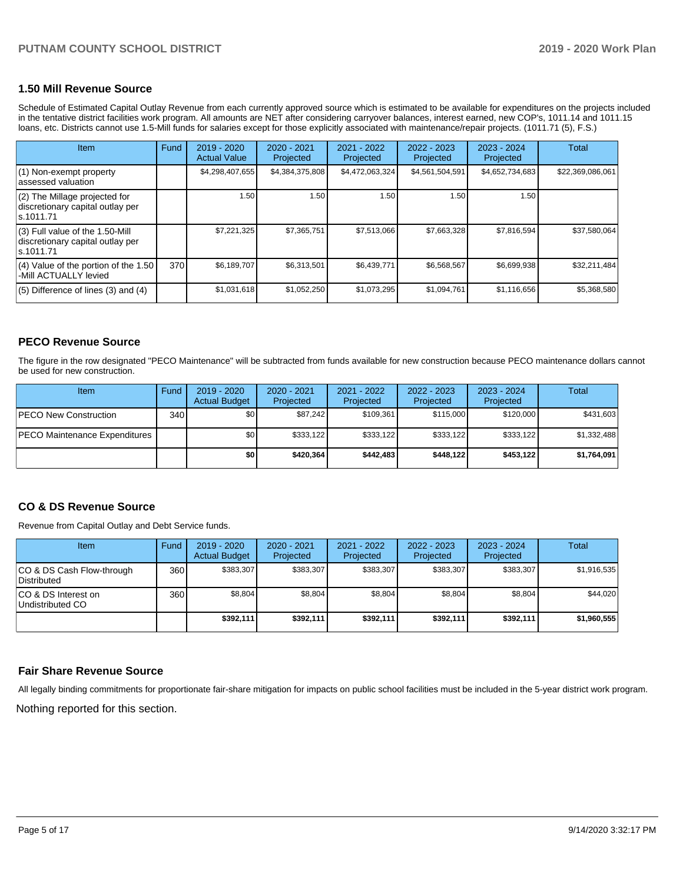### **1.50 Mill Revenue Source**

Schedule of Estimated Capital Outlay Revenue from each currently approved source which is estimated to be available for expenditures on the projects included in the tentative district facilities work program. All amounts are NET after considering carryover balances, interest earned, new COP's, 1011.14 and 1011.15 loans, etc. Districts cannot use 1.5-Mill funds for salaries except for those explicitly associated with maintenance/repair projects. (1011.71 (5), F.S.)

| <b>Item</b>                                                                         | Fund | 2019 - 2020<br><b>Actual Value</b> | $2020 - 2021$<br>Projected | 2021 - 2022<br>Projected | $2022 - 2023$<br>Projected | $2023 - 2024$<br>Projected | Total            |
|-------------------------------------------------------------------------------------|------|------------------------------------|----------------------------|--------------------------|----------------------------|----------------------------|------------------|
| (1) Non-exempt property<br>lassessed valuation                                      |      | \$4,298,407,655                    | \$4,384,375,808            | \$4,472,063,324          | \$4,561,504,591            | \$4,652,734,683            | \$22,369,086,061 |
| $(2)$ The Millage projected for<br>discretionary capital outlay per<br>ls.1011.71   |      | 1.50                               | 1.50                       | 1.50                     | 1.50                       | 1.50                       |                  |
| $(3)$ Full value of the 1.50-Mill<br>discretionary capital outlay per<br>ls.1011.71 |      | \$7,221,325                        | \$7,365,751                | \$7,513,066              | \$7,663,328                | \$7,816,594                | \$37,580,064     |
| (4) Value of the portion of the 1.50<br>-Mill ACTUALLY levied                       | 370  | \$6,189,707                        | \$6,313,501                | \$6,439,771              | \$6,568,567                | \$6,699,938                | \$32,211,484     |
| $(5)$ Difference of lines $(3)$ and $(4)$                                           |      | \$1,031,618                        | \$1,052,250                | \$1,073,295              | \$1,094,761                | \$1,116,656                | \$5,368,580      |

### **PECO Revenue Source**

The figure in the row designated "PECO Maintenance" will be subtracted from funds available for new construction because PECO maintenance dollars cannot be used for new construction.

| <b>Item</b>                          | Fund         | $2019 - 2020$<br><b>Actual Budget</b> | 2020 - 2021<br>Projected | $2021 - 2022$<br>Projected | $2022 - 2023$<br>Projected | $2023 - 2024$<br>Projected | Total       |
|--------------------------------------|--------------|---------------------------------------|--------------------------|----------------------------|----------------------------|----------------------------|-------------|
| <b>IPECO New Construction</b>        | 340 <b>I</b> | \$0 <sub>1</sub>                      | \$87.242                 | \$109.361                  | \$115,000                  | \$120,000                  | \$431,603   |
| <b>PECO Maintenance Expenditures</b> |              | ا S0                                  | \$333.122                | \$333.122                  | \$333.122                  | \$333,122                  | \$1,332,488 |
|                                      |              | \$٥١                                  | \$420,364                | \$442,483                  | \$448.122                  | \$453,122                  | \$1,764,091 |

### **CO & DS Revenue Source**

Revenue from Capital Outlay and Debt Service funds.

| Item                                            | Fund  | $2019 - 2020$<br><b>Actual Budget</b> | 2020 - 2021<br>Projected | 2021 - 2022<br>Projected | $2022 - 2023$<br>Projected | $2023 - 2024$<br>Projected | Total       |
|-------------------------------------------------|-------|---------------------------------------|--------------------------|--------------------------|----------------------------|----------------------------|-------------|
| CO & DS Cash Flow-through<br>Distributed        | 360 l | \$383.307                             | \$383.307                | \$383,307                | \$383.307                  | \$383,307                  | \$1,916,535 |
| ICO & DS Interest on<br><b>Undistributed CO</b> | 360 l | \$8,804                               | \$8,804                  | \$8,804                  | \$8,804                    | \$8,804                    | \$44,020    |
|                                                 |       | \$392,111                             | \$392.111                | \$392.111                | \$392.111                  | \$392,111                  | \$1,960,555 |

### **Fair Share Revenue Source**

All legally binding commitments for proportionate fair-share mitigation for impacts on public school facilities must be included in the 5-year district work program.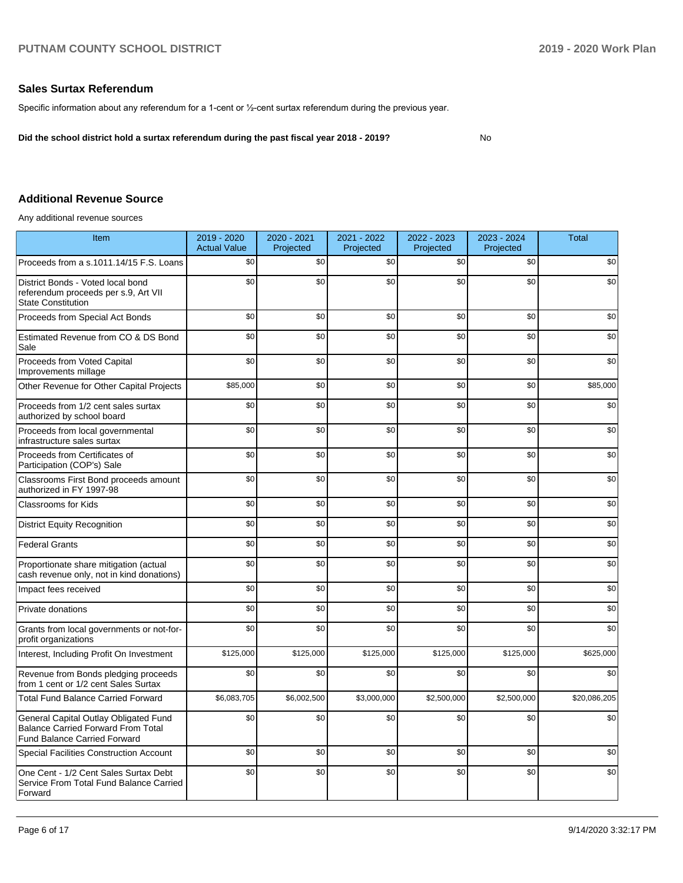### **Sales Surtax Referendum**

Specific information about any referendum for a 1-cent or ½-cent surtax referendum during the previous year.

**Did the school district hold a surtax referendum during the past fiscal year 2018 - 2019?**

No

## **Additional Revenue Source**

Any additional revenue sources

| Item                                                                                                                      | 2019 - 2020<br><b>Actual Value</b> | 2020 - 2021<br>Projected | 2021 - 2022<br>Projected | 2022 - 2023<br>Projected | 2023 - 2024<br>Projected | <b>Total</b> |
|---------------------------------------------------------------------------------------------------------------------------|------------------------------------|--------------------------|--------------------------|--------------------------|--------------------------|--------------|
| Proceeds from a s.1011.14/15 F.S. Loans                                                                                   | \$0                                | \$0                      | \$0                      | \$0                      | \$0                      | \$0          |
| District Bonds - Voted local bond<br>referendum proceeds per s.9, Art VII<br><b>State Constitution</b>                    | \$0                                | \$0                      | \$0                      | \$0                      | \$0                      | \$0          |
| Proceeds from Special Act Bonds                                                                                           | \$0                                | \$0                      | \$0                      | \$0                      | \$0                      | \$0          |
| Estimated Revenue from CO & DS Bond<br>Sale                                                                               | \$0                                | \$0                      | \$0                      | \$0                      | \$0                      | \$0          |
| Proceeds from Voted Capital<br>Improvements millage                                                                       | \$0                                | \$0                      | \$0                      | \$0                      | \$0                      | \$0          |
| Other Revenue for Other Capital Projects                                                                                  | \$85,000                           | \$0                      | \$0                      | \$0                      | \$0                      | \$85,000     |
| Proceeds from 1/2 cent sales surtax<br>authorized by school board                                                         | \$0                                | \$0                      | \$0                      | \$0                      | \$0                      | \$0          |
| Proceeds from local governmental<br>infrastructure sales surtax                                                           | \$0                                | \$0                      | \$0                      | \$0                      | \$0                      | \$0          |
| Proceeds from Certificates of<br>Participation (COP's) Sale                                                               | \$0                                | \$0                      | \$0                      | \$0                      | \$0                      | \$0          |
| Classrooms First Bond proceeds amount<br>authorized in FY 1997-98                                                         | \$0                                | \$0                      | \$0                      | \$0                      | \$0                      | \$0          |
| Classrooms for Kids                                                                                                       | \$0                                | \$0                      | \$0                      | \$0                      | \$0                      | \$0          |
| <b>District Equity Recognition</b>                                                                                        | \$0                                | \$0                      | \$0                      | \$0                      | \$0                      | \$0          |
| <b>Federal Grants</b>                                                                                                     | \$0                                | \$0                      | \$0                      | \$0                      | \$0                      | \$0          |
| Proportionate share mitigation (actual<br>cash revenue only, not in kind donations)                                       | \$0                                | \$0                      | \$0                      | \$0                      | \$0                      | \$0          |
| Impact fees received                                                                                                      | \$0                                | \$0                      | \$0                      | \$0                      | \$0                      | \$0          |
| Private donations                                                                                                         | \$0                                | \$0                      | \$0                      | \$0                      | \$0                      | \$0          |
| Grants from local governments or not-for-<br>profit organizations                                                         | \$0                                | \$0                      | \$0                      | \$0                      | \$0                      | \$0          |
| Interest, Including Profit On Investment                                                                                  | \$125,000                          | \$125,000                | \$125,000                | \$125,000                | \$125,000                | \$625,000    |
| Revenue from Bonds pledging proceeds<br>from 1 cent or 1/2 cent Sales Surtax                                              | \$0                                | \$0                      | \$0                      | \$0                      | \$0                      | \$0          |
| <b>Total Fund Balance Carried Forward</b>                                                                                 | \$6,083,705                        | \$6,002,500              | \$3,000,000              | \$2,500,000              | \$2,500,000              | \$20,086,205 |
| General Capital Outlay Obligated Fund<br><b>Balance Carried Forward From Total</b><br><b>Fund Balance Carried Forward</b> | \$0                                | \$0                      | \$0                      | \$0                      | \$0                      | \$0          |
| <b>Special Facilities Construction Account</b>                                                                            | \$0                                | \$0                      | \$0                      | \$0                      | \$0                      | \$0          |
| One Cent - 1/2 Cent Sales Surtax Debt<br>Service From Total Fund Balance Carried<br>Forward                               | \$0                                | \$0                      | \$0                      | \$0                      | \$0                      | \$0          |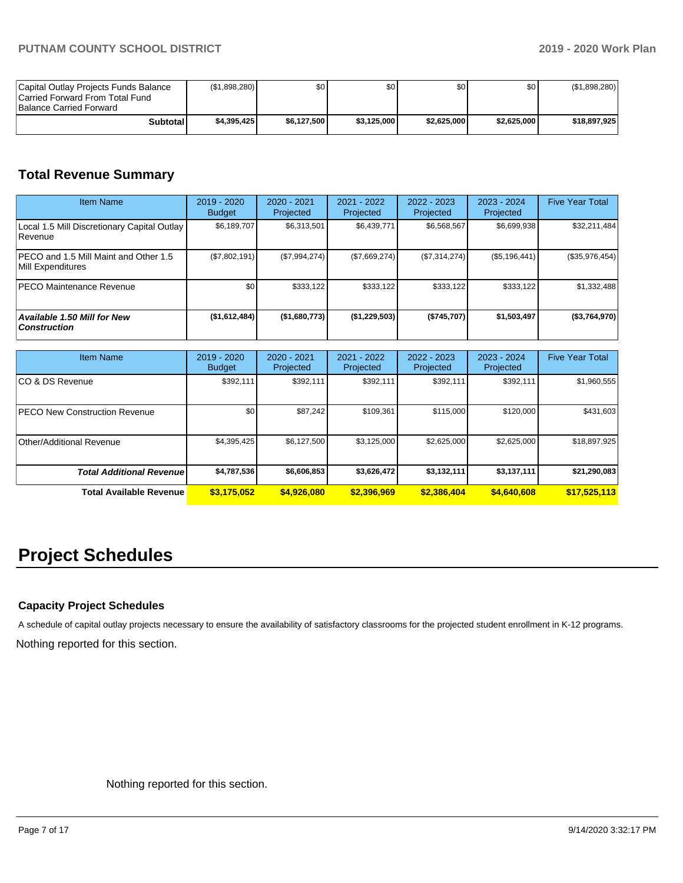| Capital Outlay Projects Funds Balance<br>Carried Forward From Total Fund<br><b>Balance Carried Forward</b> | (\$1,898,280) | \$0         | \$0 <sub>0</sub> | \$0         | \$0 <sub>1</sub> | (\$1,898,280) |
|------------------------------------------------------------------------------------------------------------|---------------|-------------|------------------|-------------|------------------|---------------|
| Subtotal                                                                                                   | \$4,395,425   | \$6,127,500 | \$3.125,000      | \$2.625.000 | \$2.625.000      | \$18,897,925  |

## **Total Revenue Summary**

| <b>Item Name</b>                                                   | $2019 - 2020$<br><b>Budget</b> | $2020 - 2021$<br>Projected | 2021 - 2022<br>Projected | 2022 - 2023<br>Projected | $2023 - 2024$<br>Projected | <b>Five Year Total</b> |
|--------------------------------------------------------------------|--------------------------------|----------------------------|--------------------------|--------------------------|----------------------------|------------------------|
| Local 1.5 Mill Discretionary Capital Outlay<br>l Revenue           | \$6.189.707                    | \$6.313.501                | \$6,439,771              | \$6.568.567              | \$6,699,938                | \$32,211,484           |
| <b>IPECO and 1.5 Mill Maint and Other 1.5</b><br>Mill Expenditures | (\$7,802,191)                  | (\$7,994,274)              | (\$7,669,274)            | (\$7,314,274)            | (\$5,196,441)              | $(*35,976,454)$        |
| <b>PECO Maintenance Revenue</b>                                    | \$0                            | \$333,122                  | \$333.122                | \$333.122                | \$333,122                  | \$1,332,488            |
| Available 1.50 Mill for New<br><b>Construction</b>                 | (\$1,612,484)                  | (\$1,680,773)              | (\$1,229,503)            | (\$745,707)              | \$1,503,497                | ( \$3,764,970]         |

| <b>Item Name</b>                     | $2019 - 2020$<br><b>Budget</b> | 2020 - 2021<br>Projected | 2021 - 2022<br>Projected | 2022 - 2023<br>Projected | 2023 - 2024<br>Projected | <b>Five Year Total</b> |
|--------------------------------------|--------------------------------|--------------------------|--------------------------|--------------------------|--------------------------|------------------------|
| ICO & DS Revenue                     | \$392,111                      | \$392,111                | \$392.111                | \$392,111                | \$392,111                | \$1,960,555            |
| <b>PECO New Construction Revenue</b> | \$0                            | \$87,242                 | \$109,361                | \$115,000                | \$120,000                | \$431,603              |
| Other/Additional Revenue             | \$4,395,425                    | \$6,127,500              | \$3,125,000              | \$2,625,000              | \$2,625,000              | \$18,897,925           |
| <b>Total Additional Revenuel</b>     | \$4,787,536                    | \$6,606,853              | \$3,626,472              | \$3,132,111              | \$3,137,111              | \$21,290,083           |
| Total Available Revenue              | \$3,175,052                    | \$4,926,080              | \$2,396,969              | \$2,386,404              | \$4,640,608              | \$17,525,113           |

# **Project Schedules**

### **Capacity Project Schedules**

Nothing reported for this section. A schedule of capital outlay projects necessary to ensure the availability of satisfactory classrooms for the projected student enrollment in K-12 programs.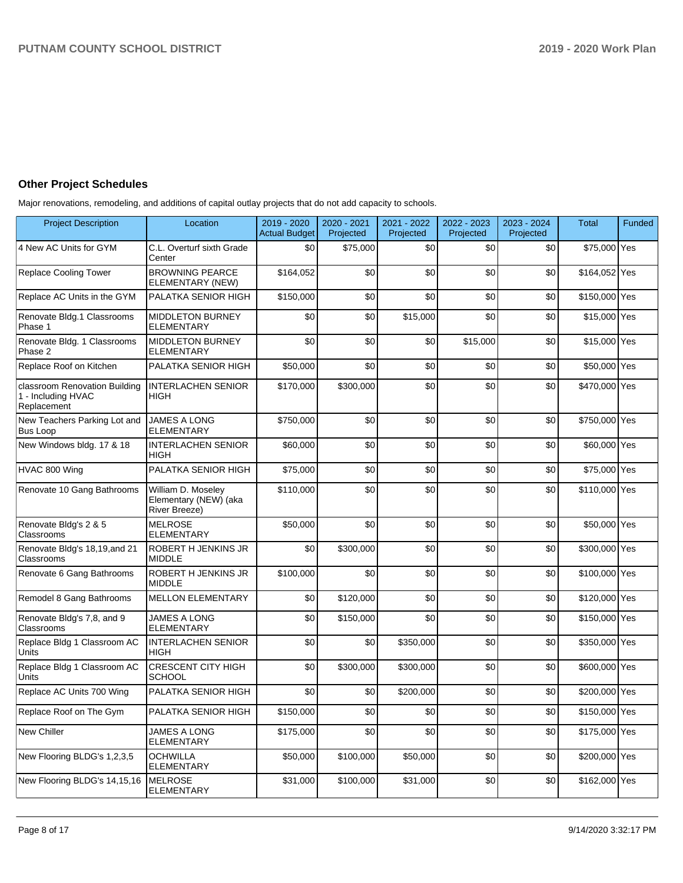### **Other Project Schedules**

Major renovations, remodeling, and additions of capital outlay projects that do not add capacity to schools.

| <b>Project Description</b>                                         | Location                                                     | 2019 - 2020<br><b>Actual Budget</b> | 2020 - 2021<br>Projected | 2021 - 2022<br>Projected | 2022 - 2023<br>Projected | 2023 - 2024<br>Projected | <b>Total</b>  | <b>Funded</b> |
|--------------------------------------------------------------------|--------------------------------------------------------------|-------------------------------------|--------------------------|--------------------------|--------------------------|--------------------------|---------------|---------------|
| 4 New AC Units for GYM                                             | C.L. Overturf sixth Grade<br>Center                          | \$0                                 | \$75,000                 | \$0                      | \$0                      | \$0                      | \$75,000 Yes  |               |
| <b>Replace Cooling Tower</b>                                       | <b>BROWNING PEARCE</b><br>ELEMENTARY (NEW)                   | \$164,052                           | \$0                      | \$0                      | \$0                      | \$0                      | \$164,052 Yes |               |
| Replace AC Units in the GYM                                        | PALATKA SENIOR HIGH                                          | \$150,000                           | \$0                      | \$0                      | \$0                      | \$0                      | \$150,000 Yes |               |
| Renovate Bldg.1 Classrooms<br>Phase 1                              | <b>MIDDLETON BURNEY</b><br><b>ELEMENTARY</b>                 | \$0                                 | \$0                      | \$15,000                 | \$0                      | \$0                      | \$15,000 Yes  |               |
| Renovate Bldg. 1 Classrooms<br>Phase 2                             | <b>MIDDLETON BURNEY</b><br><b>ELEMENTARY</b>                 | \$0                                 | \$0                      | \$0                      | \$15,000                 | \$0                      | \$15,000 Yes  |               |
| Replace Roof on Kitchen                                            | PALATKA SENIOR HIGH                                          | \$50,000                            | \$0                      | \$0                      | \$0                      | \$0                      | \$50,000 Yes  |               |
| classroom Renovation Building<br>1 - Including HVAC<br>Replacement | <b>INTERLACHEN SENIOR</b><br><b>HIGH</b>                     | \$170.000                           | \$300.000                | \$0                      | \$0                      | \$0                      | \$470,000 Yes |               |
| New Teachers Parking Lot and<br>Bus Loop                           | <b>JAMES A LONG</b><br><b>ELEMENTARY</b>                     | \$750,000                           | \$0                      | \$0                      | \$0                      | \$0                      | \$750,000 Yes |               |
| New Windows bldg. 17 & 18                                          | <b>INTERLACHEN SENIOR</b><br><b>HIGH</b>                     | \$60,000                            | \$0                      | \$0                      | \$0                      | \$0                      | \$60,000 Yes  |               |
| HVAC 800 Wing                                                      | PALATKA SENIOR HIGH                                          | \$75,000                            | \$0                      | \$0                      | \$0                      | \$0                      | \$75,000 Yes  |               |
| Renovate 10 Gang Bathrooms                                         | William D. Moseley<br>Elementary (NEW) (aka<br>River Breeze) | \$110,000                           | \$0                      | \$0                      | \$0                      | \$0                      | \$110,000 Yes |               |
| Renovate Bldg's 2 & 5<br>Classrooms                                | <b>MELROSE</b><br><b>ELEMENTARY</b>                          | \$50,000                            | \$0                      | \$0                      | \$0                      | \$0                      | \$50,000 Yes  |               |
| Renovate Bldg's 18,19, and 21<br>Classrooms                        | <b>ROBERT H JENKINS JR</b><br><b>MIDDLE</b>                  | \$0                                 | \$300,000                | \$0                      | \$0                      | \$0                      | \$300,000 Yes |               |
| Renovate 6 Gang Bathrooms                                          | <b>ROBERT H JENKINS JR</b><br><b>MIDDLE</b>                  | \$100.000                           | \$0                      | \$0                      | \$0                      | \$0                      | \$100,000 Yes |               |
| Remodel 8 Gang Bathrooms                                           | <b>MELLON ELEMENTARY</b>                                     | \$0                                 | \$120,000                | \$0                      | \$0                      | \$0                      | \$120,000 Yes |               |
| Renovate Bldg's 7,8, and 9<br>Classrooms                           | <b>JAMES A LONG</b><br><b>ELEMENTARY</b>                     | \$0                                 | \$150,000                | \$0                      | \$0                      | \$0                      | \$150,000 Yes |               |
| Replace Bldg 1 Classroom AC<br>Units                               | <b>INTERLACHEN SENIOR</b><br><b>HIGH</b>                     | \$0                                 | \$0                      | \$350,000                | \$0                      | \$0                      | \$350,000 Yes |               |
| Replace Bldg 1 Classroom AC<br>Units                               | <b>CRESCENT CITY HIGH</b><br><b>SCHOOL</b>                   | \$0                                 | \$300.000                | \$300.000                | \$0                      | \$0                      | \$600,000 Yes |               |
| Replace AC Units 700 Wing                                          | PALATKA SENIOR HIGH                                          | \$0                                 | \$0                      | \$200,000                | \$0                      | \$0                      | \$200,000 Yes |               |
| Replace Roof on The Gym                                            | PALATKA SENIOR HIGH                                          | \$150,000                           | \$0                      | \$0                      | \$0                      | \$0                      | \$150,000 Yes |               |
| New Chiller                                                        | JAMES A LONG<br><b>ELEMENTARY</b>                            | \$175,000                           | \$0                      | \$0                      | \$0                      | \$0                      | \$175,000 Yes |               |
| New Flooring BLDG's 1,2,3,5                                        | <b>OCHWILLA</b><br><b>ELEMENTARY</b>                         | \$50,000                            | \$100,000                | \$50,000                 | \$0                      | \$0                      | \$200,000 Yes |               |
| New Flooring BLDG's 14,15,16                                       | <b>MELROSE</b><br><b>ELEMENTARY</b>                          | \$31,000                            | \$100,000                | \$31,000                 | \$0                      | \$0                      | \$162,000 Yes |               |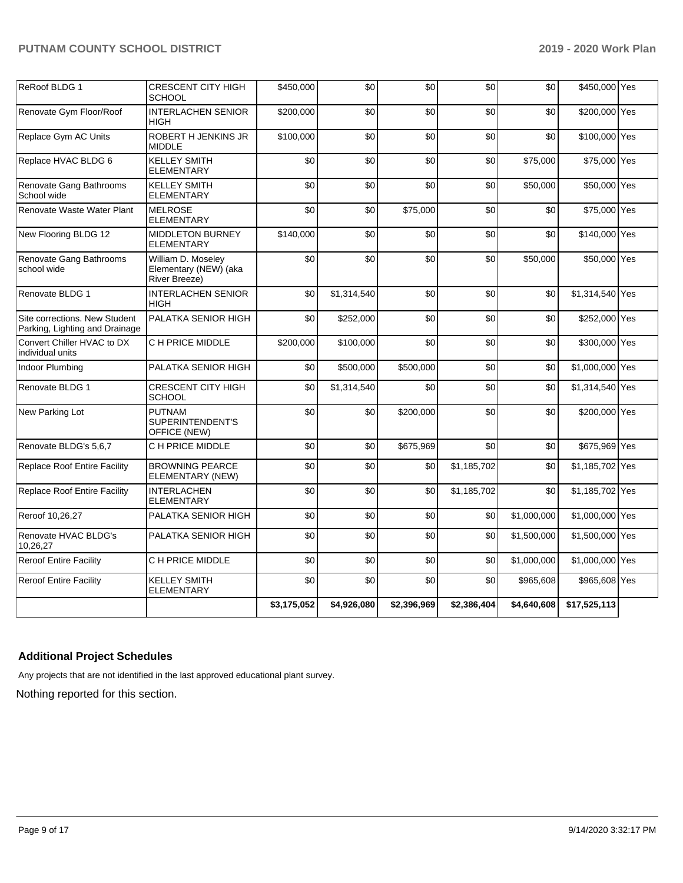|                                                                 |                                                              | \$3,175,052 | \$4,926,080 | \$2,396,969 | \$2,386,404 | \$4,640,608 | \$17,525,113    |  |
|-----------------------------------------------------------------|--------------------------------------------------------------|-------------|-------------|-------------|-------------|-------------|-----------------|--|
| <b>Reroof Entire Facility</b>                                   | <b>KELLEY SMITH</b><br>ELEMENTARY                            | \$0         | \$0         | \$0         | \$0         | \$965,608   | \$965,608 Yes   |  |
| <b>Reroof Entire Facility</b>                                   | C H PRICE MIDDLE                                             | \$0         | \$0         | \$0         | \$0         | \$1,000,000 | \$1,000,000 Yes |  |
| Renovate HVAC BLDG's<br>10.26.27                                | PALATKA SENIOR HIGH                                          | \$0         | \$0         | \$0         | \$0         | \$1,500,000 | \$1,500,000 Yes |  |
| Reroof 10,26,27                                                 | PALATKA SENIOR HIGH                                          | \$0         | \$0         | \$0         | \$0         | \$1,000,000 | \$1,000,000 Yes |  |
| <b>Replace Roof Entire Facility</b>                             | <b>INTERLACHEN</b><br><b>ELEMENTARY</b>                      | \$0         | \$0         | \$0         | \$1,185,702 | \$0         | \$1,185,702 Yes |  |
| <b>Replace Roof Entire Facility</b>                             | <b>BROWNING PEARCE</b><br>ELEMENTARY (NEW)                   | \$0         | \$0         | \$0         | \$1,185,702 | \$0         | \$1,185,702 Yes |  |
| Renovate BLDG's 5,6,7                                           | C H PRICE MIDDLE                                             | \$0         | \$0         | \$675,969   | \$0         | \$0         | \$675,969 Yes   |  |
| New Parking Lot                                                 | <b>PUTNAM</b><br>SUPERINTENDENT'S<br>OFFICE (NEW)            | \$0         | \$0         | \$200,000   | \$0         | \$0         | \$200,000 Yes   |  |
| Renovate BLDG 1                                                 | <b>CRESCENT CITY HIGH</b><br><b>SCHOOL</b>                   | \$0         | \$1,314,540 | \$0         | \$0         | \$0         | \$1,314,540 Yes |  |
| Indoor Plumbing                                                 | PALATKA SENIOR HIGH                                          | \$0         | \$500,000   | \$500,000   | \$0         | \$0         | \$1,000,000 Yes |  |
| Convert Chiller HVAC to DX<br>individual units                  | C H PRICE MIDDLE                                             | \$200,000   | \$100,000   | \$0         | \$0         | \$0         | \$300,000 Yes   |  |
| Site corrections. New Student<br>Parking, Lighting and Drainage | PALATKA SENIOR HIGH                                          | \$0         | \$252,000   | \$0         | \$0         | \$0         | \$252,000 Yes   |  |
| Renovate BLDG 1                                                 | <b>INTERLACHEN SENIOR</b><br><b>HIGH</b>                     | \$0         | \$1,314,540 | \$0         | \$0         | \$0         | \$1,314,540 Yes |  |
| Renovate Gang Bathrooms<br>school wide                          | William D. Moseley<br>Elementary (NEW) (aka<br>River Breeze) | \$0         | \$0         | \$0         | \$0         | \$50,000    | \$50,000 Yes    |  |
| New Flooring BLDG 12                                            | <b>MIDDLETON BURNEY</b><br>ELEMENTARY                        | \$140,000   | \$0         | \$0         | \$0         | \$0         | \$140,000 Yes   |  |
| Renovate Waste Water Plant                                      | <b>MELROSE</b><br><b>ELEMENTARY</b>                          | \$0         | \$0         | \$75,000    | \$0         | \$0         | \$75,000 Yes    |  |
| Renovate Gang Bathrooms<br>School wide                          | <b>KELLEY SMITH</b><br><b>ELEMENTARY</b>                     | \$0         | \$0         | \$0         | \$0         | \$50,000    | \$50,000 Yes    |  |
| Replace HVAC BLDG 6                                             | <b>KELLEY SMITH</b><br>ELEMENTARY                            | \$0         | \$0         | \$0         | \$0         | \$75,000    | \$75,000 Yes    |  |
| Replace Gym AC Units                                            | ROBERT H JENKINS JR<br><b>MIDDLE</b>                         | \$100,000   | \$0         | \$0         | \$0         | \$0         | \$100,000 Yes   |  |
| Renovate Gym Floor/Roof                                         | <b>INTERLACHEN SENIOR</b><br>HIGH                            | \$200,000   | \$0         | \$0         | \$0         | \$0         | \$200,000 Yes   |  |
| ReRoof BLDG 1                                                   | CRESCENT CITY HIGH<br><b>SCHOOL</b>                          | \$450,000   | \$0         | \$0         | \$0         | \$0         | \$450,000 Yes   |  |

## **Additional Project Schedules**

Any projects that are not identified in the last approved educational plant survey.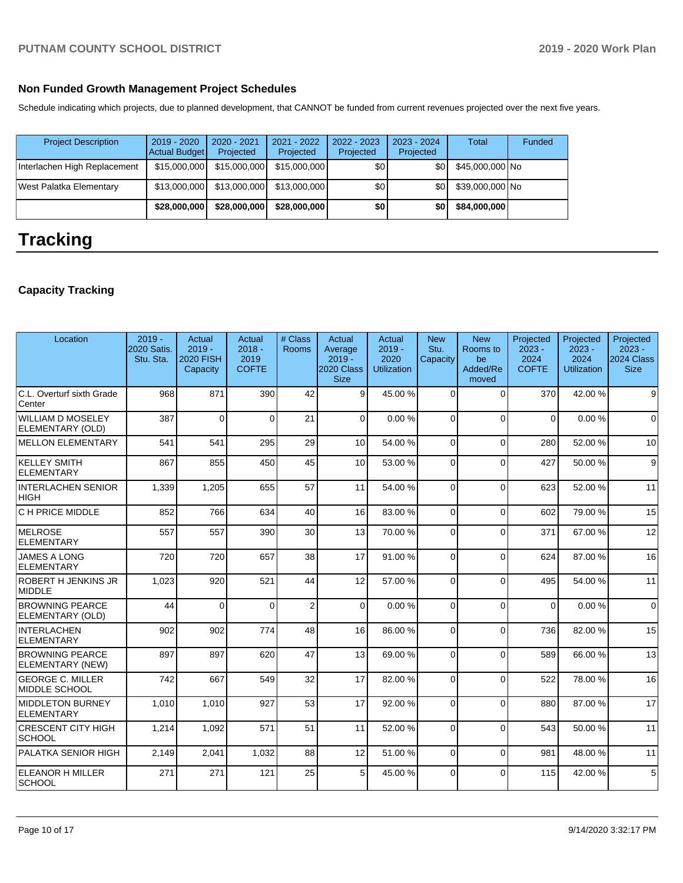### **Non Funded Growth Management Project Schedules**

Schedule indicating which projects, due to planned development, that CANNOT be funded from current revenues projected over the next five years.

| <b>Project Description</b>   | $2019 - 2020$<br>Actual Budget | 2020 - 2021<br>Projected | 2021 - 2022<br>Projected | 2022 - 2023<br>Projected | $2023 - 2024$<br>Projected | Total           | Funded |
|------------------------------|--------------------------------|--------------------------|--------------------------|--------------------------|----------------------------|-----------------|--------|
| Interlachen High Replacement | \$15,000,000                   | \$15,000,000             | \$15,000,000             | \$0                      | \$0                        | \$45,000,000 No |        |
| West Palatka Elementary      | \$13,000,000                   | \$13,000,000             | \$13,000,000             | \$0                      | \$0                        | \$39,000,000 No |        |
|                              | \$28,000,000                   | \$28,000,000             | \$28,000,000             | \$0                      | \$0                        | \$84,000,000    |        |

# **Tracking**

## **Capacity Tracking**

| Location                                   | $2019 -$<br>2020 Satis.<br>Stu. Sta. | Actual<br>$2019 -$<br><b>2020 FISH</b><br>Capacity | Actual<br>$2018 -$<br>2019<br><b>COFTE</b> | # Class<br>Rooms | Actual<br>Average<br>$2019 -$<br>2020 Class<br><b>Size</b> | Actual<br>$2019 -$<br>2020<br><b>Utilization</b> | <b>New</b><br>Stu.<br>Capacity | <b>New</b><br>Rooms to<br>be<br>Added/Re<br>moved | Projected<br>$2023 -$<br>2024<br><b>COFTE</b> | Projected<br>$2023 -$<br>2024<br><b>Utilization</b> | Projected<br>$2023 -$<br>2024 Class<br><b>Size</b> |
|--------------------------------------------|--------------------------------------|----------------------------------------------------|--------------------------------------------|------------------|------------------------------------------------------------|--------------------------------------------------|--------------------------------|---------------------------------------------------|-----------------------------------------------|-----------------------------------------------------|----------------------------------------------------|
| C.L. Overturf sixth Grade<br>Center        | 968                                  | 871                                                | 390                                        | 42               | 9                                                          | 45.00 %                                          | $\Omega$                       | $\Omega$                                          | 370                                           | 42.00%                                              | 9                                                  |
| WILLIAM D MOSELEY<br>ELEMENTARY (OLD)      | 387                                  | $\Omega$                                           | $\Omega$                                   | 21               | $\Omega$                                                   | 0.00%                                            | $\Omega$                       | $\Omega$                                          | $\Omega$                                      | 0.00%                                               | $\Omega$                                           |
| <b>MELLON ELEMENTARY</b>                   | 541                                  | 541                                                | 295                                        | 29               | 10                                                         | 54.00 %                                          | $\Omega$                       | $\Omega$                                          | 280                                           | 52.00 %                                             | 10                                                 |
| <b>KELLEY SMITH</b><br>ELEMENTARY          | 867                                  | 855                                                | 450                                        | 45               | 10                                                         | 53.00 %                                          | $\Omega$                       | $\Omega$                                          | 427                                           | 50.00 %                                             | $\boldsymbol{9}$                                   |
| <b>INTERLACHEN SENIOR</b><br><b>HIGH</b>   | 1,339                                | 1,205                                              | 655                                        | 57               | 11                                                         | 54.00 %                                          | $\Omega$                       | $\Omega$                                          | 623                                           | 52.00 %                                             | 11                                                 |
| C H PRICE MIDDLE                           | 852                                  | 766                                                | 634                                        | 40               | 16                                                         | 83.00 %                                          | $\Omega$                       | $\Omega$                                          | 602                                           | 79.00 %                                             | 15                                                 |
| <b>MELROSE</b><br>ELEMENTARY               | 557                                  | 557                                                | 390                                        | 30               | 13                                                         | 70.00%                                           | $\Omega$                       | $\Omega$                                          | 371                                           | 67.00 %                                             | 12                                                 |
| <b>JAMES A LONG</b><br>ELEMENTARY          | 720                                  | 720                                                | 657                                        | 38               | 17                                                         | 91.00%                                           | $\Omega$                       | $\Omega$                                          | 624                                           | 87.00 %                                             | 16                                                 |
| <b>ROBERT H JENKINS JR</b><br>MIDDLE       | 1,023                                | 920                                                | 521                                        | 44               | 12                                                         | 57.00 %                                          | $\Omega$                       | $\Omega$                                          | 495                                           | 54.00 %                                             | 11                                                 |
| <b>BROWNING PEARCE</b><br>ELEMENTARY (OLD) | 44                                   | $\Omega$                                           | $\Omega$                                   | $\overline{2}$   | $\Omega$                                                   | 0.00%                                            | $\Omega$                       | $\Omega$                                          | $\Omega$                                      | 0.00%                                               | $\Omega$                                           |
| INTERLACHEN<br>ELEMENTARY                  | 902                                  | 902                                                | 774                                        | 48               | 16                                                         | 86.00 %                                          | $\Omega$                       | $\Omega$                                          | 736                                           | 82.00 %                                             | 15                                                 |
| <b>BROWNING PEARCE</b><br>ELEMENTARY (NEW) | 897                                  | 897                                                | 620                                        | 47               | 13                                                         | 69.00 %                                          | $\Omega$                       | $\Omega$                                          | 589                                           | 66.00 %                                             | 13                                                 |
| <b>GEORGE C. MILLER</b><br>MIDDLE SCHOOL   | 742                                  | 667                                                | 549                                        | 32               | 17                                                         | 82.00 %                                          | $\Omega$                       | $\Omega$                                          | 522                                           | 78.00 %                                             | 16                                                 |
| <b>MIDDLETON BURNEY</b><br>ELEMENTARY      | 1,010                                | 1,010                                              | 927                                        | 53               | 17                                                         | 92.00 %                                          | $\Omega$                       | $\Omega$                                          | 880                                           | 87.00 %                                             | 17                                                 |
| <b>CRESCENT CITY HIGH</b><br> SCHOOL       | 1,214                                | 1,092                                              | 571                                        | 51               | 11                                                         | 52.00 %                                          | $\Omega$                       | $\Omega$                                          | 543                                           | 50.00 %                                             | 11                                                 |
| PALATKA SENIOR HIGH                        | 2,149                                | 2,041                                              | 1,032                                      | 88               | 12                                                         | 51.00 %                                          | $\Omega$                       | $\Omega$                                          | 981                                           | 48.00 %                                             | 11                                                 |
| <b>ELEANOR H MILLER</b><br><b>SCHOOL</b>   | 271                                  | 271                                                | 121                                        | 25               | 5 <sup>1</sup>                                             | 45.00 %                                          | $\Omega$                       | $\Omega$                                          | 115                                           | 42.00 %                                             | $\,$ 5 $\,$                                        |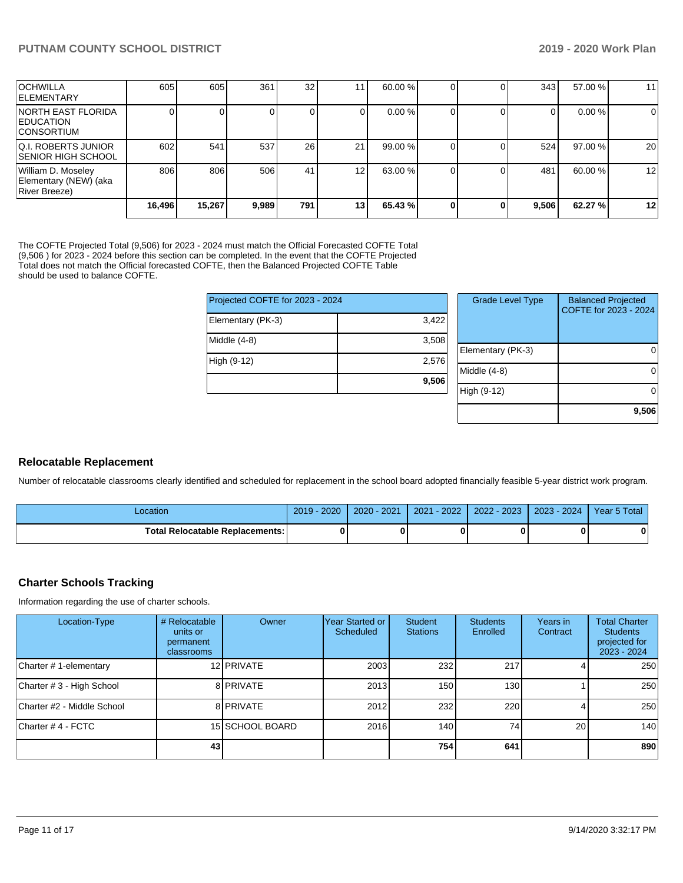|                                                              | 16,496 | 15,267 | 9,989 | 791 l     | 13 <sub>l</sub> | 65.43 % |  | 9,506 | 62.27 % | $12 \,$ |
|--------------------------------------------------------------|--------|--------|-------|-----------|-----------------|---------|--|-------|---------|---------|
| William D. Moseley<br>Elementary (NEW) (aka<br>River Breeze) | 806    | 806    | 506   | 41        | 12 <sub>1</sub> | 63.00 % |  | 481   | 60.00 % | 12      |
| IQ.I. ROBERTS JUNIOR<br>ISENIOR HIGH SCHOOL                  | 602    | 541    | 537   | <b>26</b> | 21              | 99.00 % |  | 524   | 97.00 % | 20      |
| INORTH EAST FLORIDA<br><b>EDUCATION</b><br>ICONSORTIUM       |        |        |       | 0         |                 | 0.00 %  |  | 0     | 0.00%   | 0       |
| <b>OCHWILLA</b><br><b>IELEMENTARY</b>                        | 605    | 605    | 361   | 32        | 11              | 60.00 % |  | 343   | 57.00 % | 11      |

The COFTE Projected Total (9,506) for 2023 - 2024 must match the Official Forecasted COFTE Total (9,506 ) for 2023 - 2024 before this section can be completed. In the event that the COFTE Projected Total does not match the Official forecasted COFTE, then the Balanced Projected COFTE Table should be used to balance COFTE.

| Projected COFTE for 2023 - 2024 |       |  |              |  |  |
|---------------------------------|-------|--|--------------|--|--|
| Elementary (PK-3)               | 3,422 |  |              |  |  |
| Middle (4-8)                    | 3,508 |  | Elemer       |  |  |
| High (9-12)                     | 2,576 |  | Middle       |  |  |
|                                 | 9,506 |  |              |  |  |
|                                 |       |  | ) (የ<br>Higl |  |  |

| <b>Grade Level Type</b> | <b>Balanced Projected</b><br>COFTE for 2023 - 2024 |
|-------------------------|----------------------------------------------------|
| Elementary (PK-3)       |                                                    |
| Middle $(4-8)$          |                                                    |
| High (9-12)             |                                                    |
|                         | 9,506                                              |

### **Relocatable Replacement**

Number of relocatable classrooms clearly identified and scheduled for replacement in the school board adopted financially feasible 5-year district work program.

| -ocation                                 | $2019 - 2020$ | $2020 - 2021$ | $-2022$<br>2021 | 2022 - 2023 | $2023 - 2024$ | Year 5 Total |
|------------------------------------------|---------------|---------------|-----------------|-------------|---------------|--------------|
| <b>Total Relocatable Replacements: I</b> |               |               |                 |             |               |              |

### **Charter Schools Tracking**

Information regarding the use of charter schools.

| Location-Type              | # Relocatable<br>units or<br>permanent<br>classrooms | Owner           | Year Started or<br>Scheduled | Student<br><b>Stations</b> | <b>Students</b><br>Enrolled | Years in<br>Contract | <b>Total Charter</b><br><b>Students</b><br>projected for<br>2023 - 2024 |
|----------------------------|------------------------------------------------------|-----------------|------------------------------|----------------------------|-----------------------------|----------------------|-------------------------------------------------------------------------|
| Charter #1-elementary      |                                                      | 12 PRIVATE      | 2003                         | 232                        | 217                         |                      | 250                                                                     |
| Charter # 3 - High School  |                                                      | 8 PRIVATE       | 2013                         | 150                        | 130 <sup>l</sup>            |                      | 250                                                                     |
| Charter #2 - Middle School |                                                      | 8 PRIVATE       | 2012                         | 232                        | 220                         |                      | 250                                                                     |
| Charter # 4 - FCTC         |                                                      | 15 SCHOOL BOARD | 2016                         | 140                        | 74                          | 20                   | 140                                                                     |
|                            | 43                                                   |                 |                              | 754                        | 641                         |                      | 890                                                                     |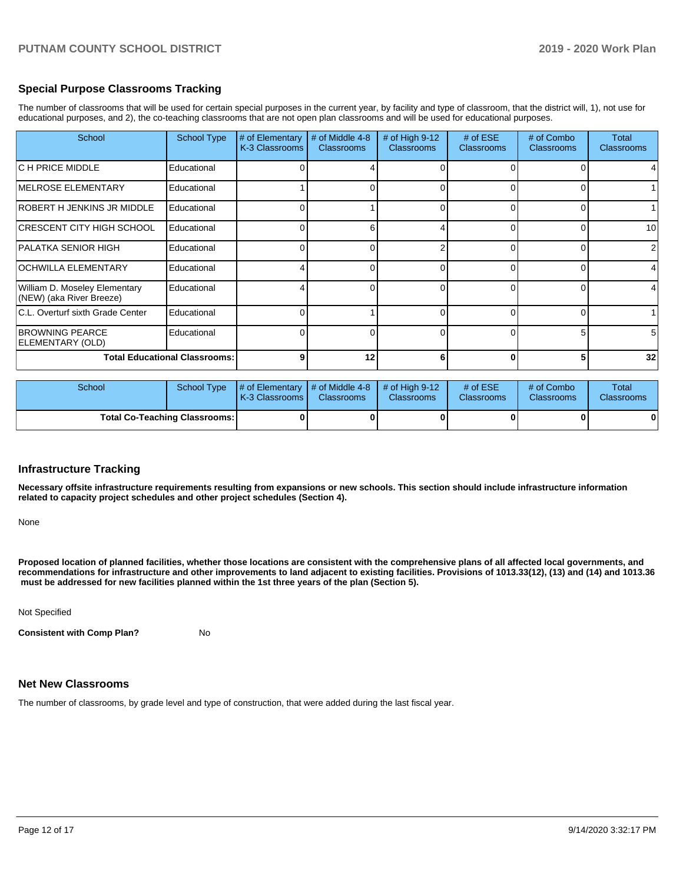### **Special Purpose Classrooms Tracking**

The number of classrooms that will be used for certain special purposes in the current year, by facility and type of classroom, that the district will, 1), not use for educational purposes, and 2), the co-teaching classrooms that are not open plan classrooms and will be used for educational purposes.

| School                                                    | <b>School Type</b> | # of Elementary<br>K-3 Classrooms | # of Middle 4-8<br><b>Classrooms</b> | # of High $9-12$<br><b>Classrooms</b> | # of $ESE$<br><b>Classrooms</b> | # of Combo<br><b>Classrooms</b> | Total<br><b>Classrooms</b> |
|-----------------------------------------------------------|--------------------|-----------------------------------|--------------------------------------|---------------------------------------|---------------------------------|---------------------------------|----------------------------|
| C H PRICE MIDDLE                                          | Educational        |                                   |                                      |                                       |                                 |                                 |                            |
| <b>IMELROSE ELEMENTARY</b>                                | Educational        |                                   |                                      | ∩                                     |                                 |                                 |                            |
| ROBERT H JENKINS JR MIDDLE                                | Educational        |                                   |                                      | $\Omega$                              | 0                               | $\Omega$                        |                            |
| ICRESCENT CITY HIGH SCHOOL                                | Educational        |                                   | 6                                    |                                       | U                               | U                               | 10                         |
| PALATKA SENIOR HIGH                                       | Educational        |                                   |                                      |                                       |                                 |                                 |                            |
| <b>OCHWILLA ELEMENTARY</b>                                | Educational        |                                   |                                      | 0                                     |                                 | 0                               |                            |
| William D. Moseley Elementary<br>(NEW) (aka River Breeze) | Educational        |                                   |                                      | $\Omega$                              |                                 |                                 |                            |
| C.L. Overturf sixth Grade Center                          | Educational        |                                   |                                      | $\Omega$                              |                                 | 0                               |                            |
| <b>BROWNING PEARCE</b><br>ELEMENTARY (OLD)                | Educational        |                                   |                                      | 0                                     |                                 | 5                               | 5                          |
| <b>Total Educational Classrooms:</b>                      |                    | g                                 | 12                                   | 6                                     |                                 | 5                               | 32                         |

| School                               | School Type | $\parallel \#$ of Elementary $\parallel \#$ of Middle 4-8 $\parallel \#$ of High 9-12<br><b>K-3 Classrooms I</b> | <b>Classrooms</b> | <b>Classrooms</b> | # of $ESE$<br><b>Classrooms</b> | # of Combo<br><b>Classrooms</b> | Total<br><b>Classrooms</b> |
|--------------------------------------|-------------|------------------------------------------------------------------------------------------------------------------|-------------------|-------------------|---------------------------------|---------------------------------|----------------------------|
| <b>Total Co-Teaching Classrooms:</b> |             |                                                                                                                  | 0                 |                   |                                 |                                 | 0                          |

### **Infrastructure Tracking**

**Necessary offsite infrastructure requirements resulting from expansions or new schools. This section should include infrastructure information related to capacity project schedules and other project schedules (Section 4).** 

None

**Proposed location of planned facilities, whether those locations are consistent with the comprehensive plans of all affected local governments, and recommendations for infrastructure and other improvements to land adjacent to existing facilities. Provisions of 1013.33(12), (13) and (14) and 1013.36 must be addressed for new facilities planned within the 1st three years of the plan (Section 5).** 

Not Specified

**Consistent with Comp Plan?** No

### **Net New Classrooms**

The number of classrooms, by grade level and type of construction, that were added during the last fiscal year.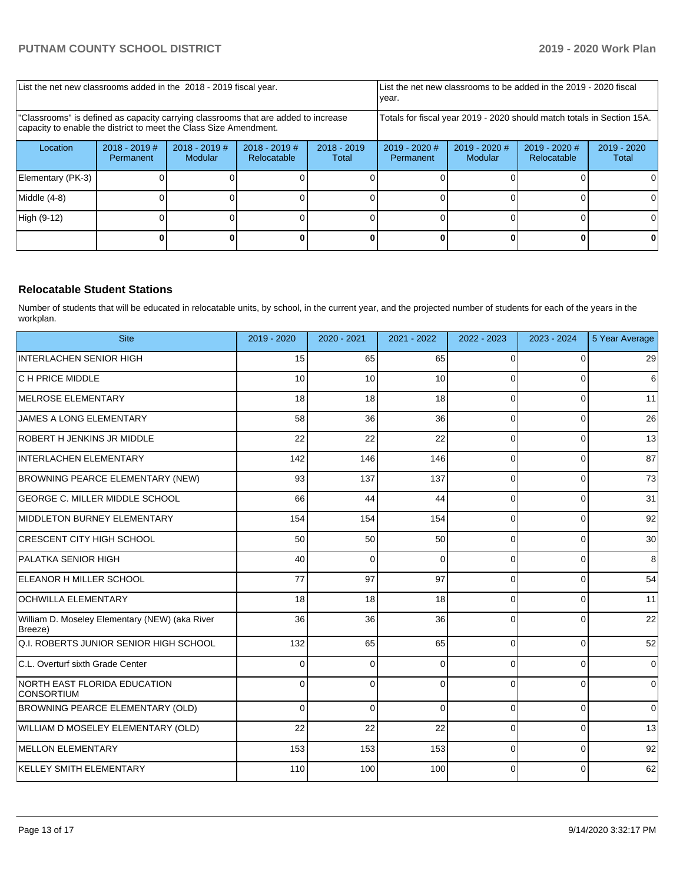| List the net new classrooms added in the 2018 - 2019 fiscal year.                                                                                       |                              |                            |                                |                        | List the net new classrooms to be added in the 2019 - 2020 fiscal<br>year. |                            |                                |                        |
|---------------------------------------------------------------------------------------------------------------------------------------------------------|------------------------------|----------------------------|--------------------------------|------------------------|----------------------------------------------------------------------------|----------------------------|--------------------------------|------------------------|
| 'Classrooms" is defined as capacity carrying classrooms that are added to increase<br>capacity to enable the district to meet the Class Size Amendment. |                              |                            |                                |                        | Totals for fiscal year 2019 - 2020 should match totals in Section 15A.     |                            |                                |                        |
| Location                                                                                                                                                | $2018 - 2019$ #<br>Permanent | $2018 - 2019$ #<br>Modular | $2018 - 2019$ #<br>Relocatable | $2018 - 2019$<br>Total | $2019 - 2020$ #<br>Permanent                                               | $2019 - 2020$ #<br>Modular | $2019 - 2020$ #<br>Relocatable | $2019 - 2020$<br>Total |
| Elementary (PK-3)                                                                                                                                       |                              |                            |                                |                        |                                                                            |                            |                                |                        |
| Middle (4-8)                                                                                                                                            |                              |                            |                                |                        |                                                                            |                            |                                | 0                      |
| High (9-12)                                                                                                                                             |                              |                            |                                |                        |                                                                            |                            |                                | ΩI                     |
|                                                                                                                                                         |                              |                            |                                |                        |                                                                            |                            |                                |                        |

### **Relocatable Student Stations**

Number of students that will be educated in relocatable units, by school, in the current year, and the projected number of students for each of the years in the workplan.

| <b>Site</b>                                               | 2019 - 2020 | 2020 - 2021 | 2021 - 2022 | 2022 - 2023 | 2023 - 2024    | 5 Year Average   |
|-----------------------------------------------------------|-------------|-------------|-------------|-------------|----------------|------------------|
| <b>INTERLACHEN SENIOR HIGH</b>                            | 15          | 65          | 65          | $\Omega$    | $\Omega$       | 29               |
| C H PRICE MIDDLE                                          | 10          | 10          | 10          | $\Omega$    | $\Omega$       | $6 \overline{6}$ |
| MELROSE ELEMENTARY                                        | 18          | 18          | 18          | $\Omega$    | $\Omega$       | 11               |
| <b>JAMES A LONG ELEMENTARY</b>                            | 58          | 36          | 36          | $\Omega$    | $\Omega$       | 26               |
| <b>ROBERT H JENKINS JR MIDDLE</b>                         | 22          | 22          | 22          | $\Omega$    | $\Omega$       | 13               |
| <b>INTERLACHEN ELEMENTARY</b>                             | 142         | 146         | 146         | $\Omega$    | $\Omega$       | 87               |
| BROWNING PEARCE ELEMENTARY (NEW)                          | 93          | 137         | 137         | $\Omega$    | $\Omega$       | 73               |
| GEORGE C. MILLER MIDDLE SCHOOL                            | 66          | 44          | 44          | $\Omega$    | $\overline{0}$ | 31               |
| MIDDLETON BURNEY ELEMENTARY                               | 154         | 154         | 154         | $\Omega$    | $\Omega$       | 92               |
| CRESCENT CITY HIGH SCHOOL                                 | 50          | 50          | 50          | $\Omega$    | $\overline{0}$ | 30               |
| PALATKA SENIOR HIGH                                       | 40          | $\mathbf 0$ | $\Omega$    | $\Omega$    | $\overline{0}$ | 8                |
| ELEANOR H MILLER SCHOOL                                   | 77          | 97          | 97          | $\Omega$    | 0              | 54               |
| <b>OCHWILLA ELEMENTARY</b>                                | 18          | 18          | 18          | $\Omega$    | $\overline{0}$ | 11               |
| William D. Moseley Elementary (NEW) (aka River<br>Breeze) | 36          | 36          | 36          | $\Omega$    | $\overline{0}$ | 22               |
| Q.I. ROBERTS JUNIOR SENIOR HIGH SCHOOL                    | 132         | 65          | 65          | $\Omega$    | $\overline{0}$ | 52               |
| C.L. Overturf sixth Grade Center                          | $\Omega$    | $\mathbf 0$ | $\Omega$    | $\Omega$    | 0              | $\overline{0}$   |
| <b>NORTH EAST FLORIDA EDUCATION</b><br><b>CONSORTIUM</b>  | $\Omega$    | $\mathbf 0$ | $\Omega$    | $\Omega$    | 0              | $\overline{0}$   |
| BROWNING PEARCE ELEMENTARY (OLD)                          | $\Omega$    | $\Omega$    | $\Omega$    | $\Omega$    | $\Omega$       | $\overline{0}$   |
| WILLIAM D MOSELEY ELEMENTARY (OLD)                        | 22          | 22          | 22          | $\Omega$    | $\Omega$       | 13               |
| <b>MELLON ELEMENTARY</b>                                  | 153         | 153         | 153         | $\Omega$    | $\Omega$       | 92               |
| <b>KELLEY SMITH ELEMENTARY</b>                            | 110         | 100         | 100         | $\Omega$    | $\Omega$       | 62               |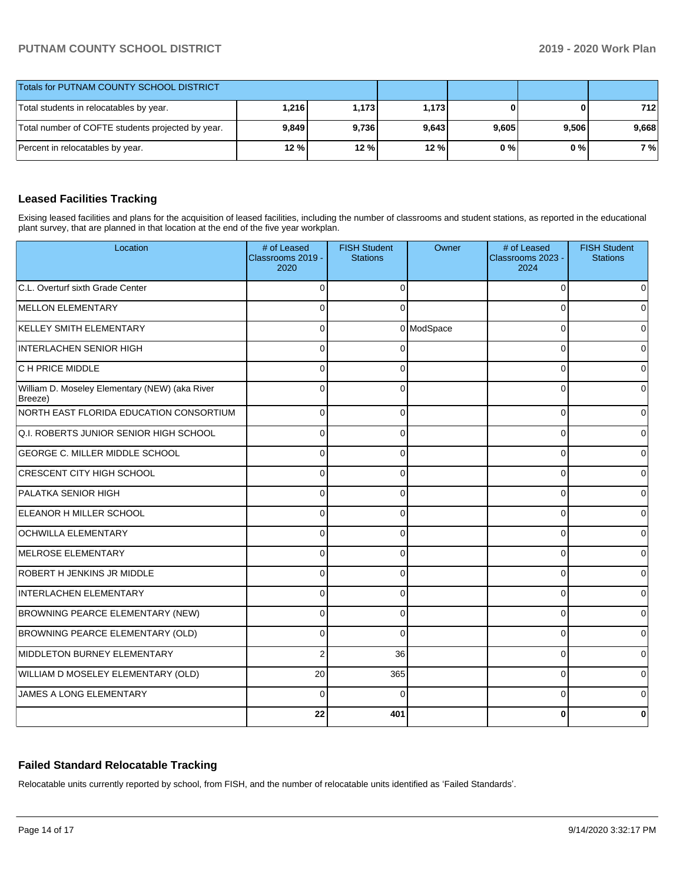| <b>Totals for PUTNAM COUNTY SCHOOL DISTRICT</b>   |       |         |       |       |       |       |
|---------------------------------------------------|-------|---------|-------|-------|-------|-------|
| Total students in relocatables by year.           | 1,216 | 1.173 l | 1,173 |       | 01    | 712   |
| Total number of COFTE students projected by year. | 9,849 | 9.736   | 9,643 | 9,605 | 9,506 | 9,668 |
| Percent in relocatables by year.                  | 12%   | 12 %    | 12 %  | 0%    | 0 % I | 7 %   |

### **Leased Facilities Tracking**

Exising leased facilities and plans for the acquisition of leased facilities, including the number of classrooms and student stations, as reported in the educational plant survey, that are planned in that location at the end of the five year workplan.

| Location                                                  | # of Leased<br>Classrooms 2019 -<br>2020 | <b>FISH Student</b><br><b>Stations</b> | Owner      | # of Leased<br>Classrooms 2023 -<br>2024 | <b>FISH Student</b><br><b>Stations</b> |
|-----------------------------------------------------------|------------------------------------------|----------------------------------------|------------|------------------------------------------|----------------------------------------|
| C.L. Overturf sixth Grade Center                          | $\Omega$                                 | $\Omega$                               |            | $\Omega$                                 | ი                                      |
| MELLON ELEMENTARY                                         | $\Omega$                                 | $\Omega$                               |            | $\Omega$                                 |                                        |
| KELLEY SMITH ELEMENTARY                                   | $\Omega$                                 |                                        | 0 ModSpace | $\Omega$                                 | n                                      |
| <b>INTERLACHEN SENIOR HIGH</b>                            | $\Omega$                                 | $\Omega$                               |            | $\Omega$                                 | 0                                      |
| <b>C H PRICE MIDDLE</b>                                   | $\Omega$                                 | $\Omega$                               |            | 0                                        | 0                                      |
| William D. Moseley Elementary (NEW) (aka River<br>Breeze) | $\mathbf{0}$                             | $\Omega$                               |            | $\Omega$                                 | 0                                      |
| NORTH EAST FLORIDA EDUCATION CONSORTIUM                   | $\Omega$                                 | $\Omega$                               |            | $\Omega$                                 | 0                                      |
| Q.I. ROBERTS JUNIOR SENIOR HIGH SCHOOL                    | $\Omega$                                 | $\Omega$                               |            | $\Omega$                                 | 0                                      |
| <b>GEORGE C. MILLER MIDDLE SCHOOL</b>                     | $\Omega$                                 | $\Omega$                               |            | $\Omega$                                 | 0                                      |
| <b>CRESCENT CITY HIGH SCHOOL</b>                          | 0                                        | 0                                      |            | 0                                        | 0                                      |
| PALATKA SENIOR HIGH                                       | 0                                        | 0                                      |            | $\Omega$                                 | 0                                      |
| ELEANOR H MILLER SCHOOL                                   | $\Omega$                                 | 0                                      |            | 0                                        | 0                                      |
| <b>OCHWILLA ELEMENTARY</b>                                | $\Omega$                                 | 0                                      |            | $\Omega$                                 | 0                                      |
| MELROSE ELEMENTARY                                        | $\Omega$                                 | $\Omega$                               |            | $\Omega$                                 | 0                                      |
| ROBERT H JENKINS JR MIDDLE                                | $\Omega$                                 | 0                                      |            | $\Omega$                                 | n                                      |
| INTERLACHEN ELEMENTARY                                    | 0                                        | 0                                      |            | $\Omega$                                 |                                        |
| BROWNING PEARCE ELEMENTARY (NEW)                          | $\Omega$                                 | $\Omega$                               |            | $\Omega$                                 | U                                      |
| BROWNING PEARCE ELEMENTARY (OLD)                          | $\Omega$                                 | $\Omega$                               |            | $\Omega$                                 | 0                                      |
| MIDDLETON BURNEY ELEMENTARY                               | $\overline{2}$                           | 36                                     |            | $\Omega$                                 | 0                                      |
| WILLIAM D MOSELEY ELEMENTARY (OLD)                        | 20                                       | 365                                    |            | $\Omega$                                 | $\Omega$                               |
| JAMES A LONG ELEMENTARY                                   | $\Omega$                                 | $\Omega$                               |            | $\Omega$                                 | 0                                      |
|                                                           | 22                                       | 401                                    |            | ŋ                                        | U                                      |

### **Failed Standard Relocatable Tracking**

Relocatable units currently reported by school, from FISH, and the number of relocatable units identified as 'Failed Standards'.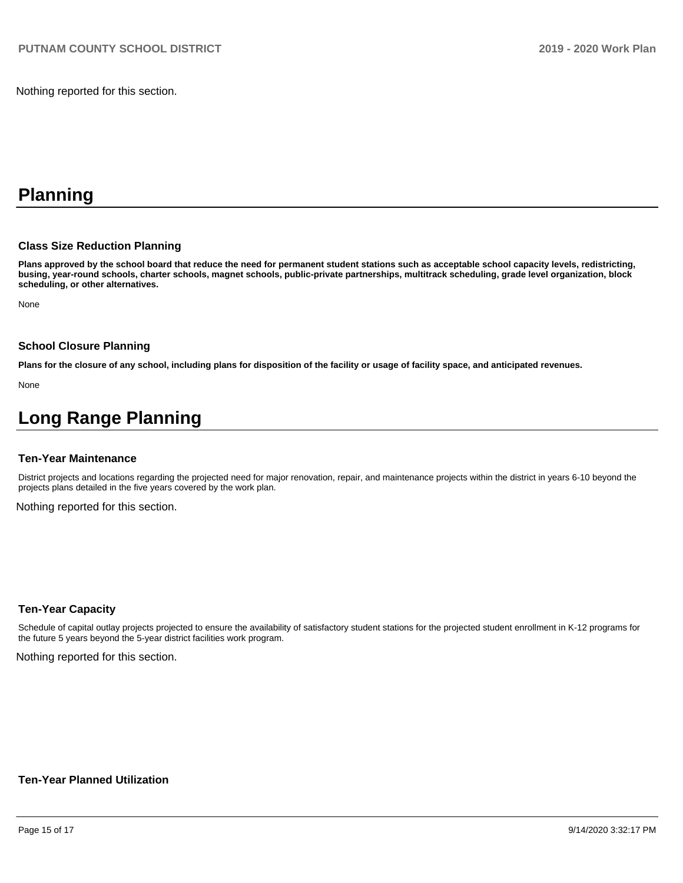Nothing reported for this section.

# **Planning**

### **Class Size Reduction Planning**

**Plans approved by the school board that reduce the need for permanent student stations such as acceptable school capacity levels, redistricting, busing, year-round schools, charter schools, magnet schools, public-private partnerships, multitrack scheduling, grade level organization, block scheduling, or other alternatives.**

None

#### **School Closure Planning**

**Plans for the closure of any school, including plans for disposition of the facility or usage of facility space, and anticipated revenues.** 

None

# **Long Range Planning**

#### **Ten-Year Maintenance**

District projects and locations regarding the projected need for major renovation, repair, and maintenance projects within the district in years 6-10 beyond the projects plans detailed in the five years covered by the work plan.

Nothing reported for this section.

### **Ten-Year Capacity**

Schedule of capital outlay projects projected to ensure the availability of satisfactory student stations for the projected student enrollment in K-12 programs for the future 5 years beyond the 5-year district facilities work program.

Nothing reported for this section.

### **Ten-Year Planned Utilization**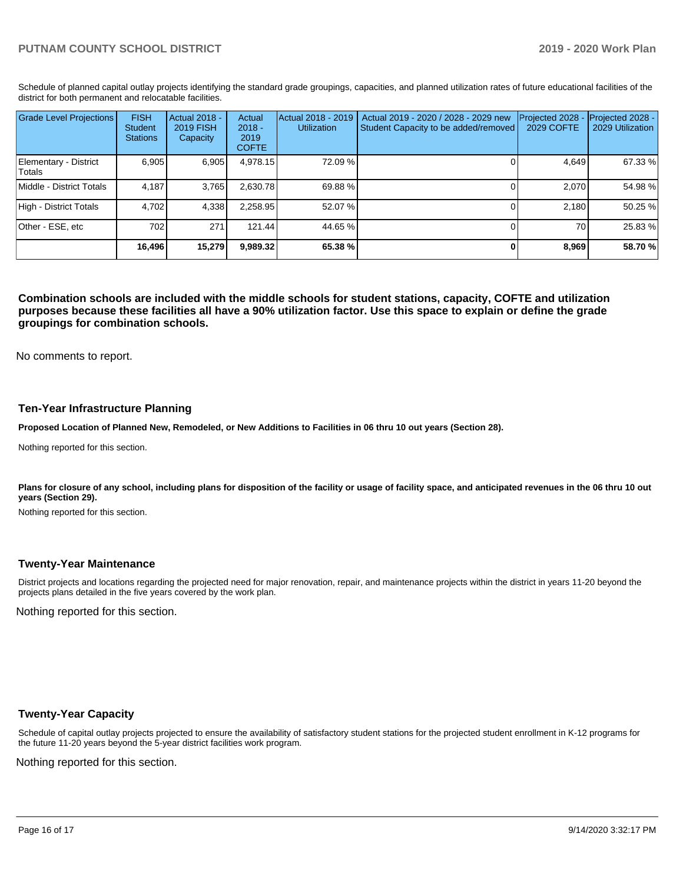Schedule of planned capital outlay projects identifying the standard grade groupings, capacities, and planned utilization rates of future educational facilities of the district for both permanent and relocatable facilities.

| <b>Grade Level Projections</b>   | <b>FISH</b><br>Student<br><b>Stations</b> | <b>Actual 2018 -</b><br>2019 FISH<br>Capacity | Actual<br>$2018 -$<br>2019<br><b>COFTE</b> | Actual 2018 - 2019<br><b>Utilization</b> | Actual 2019 - 2020 / 2028 - 2029 new<br>Student Capacity to be added/removed | Projected 2028<br>2029 COFTE | Projected 2028 -<br>2029 Utilization |
|----------------------------------|-------------------------------------------|-----------------------------------------------|--------------------------------------------|------------------------------------------|------------------------------------------------------------------------------|------------------------------|--------------------------------------|
| Elementary - District<br> Totals | 6.905                                     | 6,905                                         | 4,978.15                                   | 72.09%                                   |                                                                              | 4.649                        | 67.33 %                              |
| Middle - District Totals         | 4.187                                     | 3.765                                         | 2.630.78                                   | 69.88 %                                  |                                                                              | 2.070                        | 54.98 %                              |
| High - District Totals           | 4.702                                     | 4,338                                         | 2,258.95                                   | 52.07 %                                  |                                                                              | 2.180                        | 50.25 %                              |
| Other - ESE, etc                 | 702                                       | 271                                           | 121.44                                     | 44.65 %                                  |                                                                              | 70                           | 25.83 %                              |
|                                  | 16,496                                    | 15,279                                        | 9,989.32                                   | 65.38 %                                  |                                                                              | 8,969                        | 58.70 %                              |

**Combination schools are included with the middle schools for student stations, capacity, COFTE and utilization purposes because these facilities all have a 90% utilization factor. Use this space to explain or define the grade groupings for combination schools.** 

No comments to report.

### **Ten-Year Infrastructure Planning**

**Proposed Location of Planned New, Remodeled, or New Additions to Facilities in 06 thru 10 out years (Section 28).**

Nothing reported for this section.

Plans for closure of any school, including plans for disposition of the facility or usage of facility space, and anticipated revenues in the 06 thru 10 out **years (Section 29).**

Nothing reported for this section.

### **Twenty-Year Maintenance**

District projects and locations regarding the projected need for major renovation, repair, and maintenance projects within the district in years 11-20 beyond the projects plans detailed in the five years covered by the work plan.

Nothing reported for this section.

### **Twenty-Year Capacity**

Schedule of capital outlay projects projected to ensure the availability of satisfactory student stations for the projected student enrollment in K-12 programs for the future 11-20 years beyond the 5-year district facilities work program.